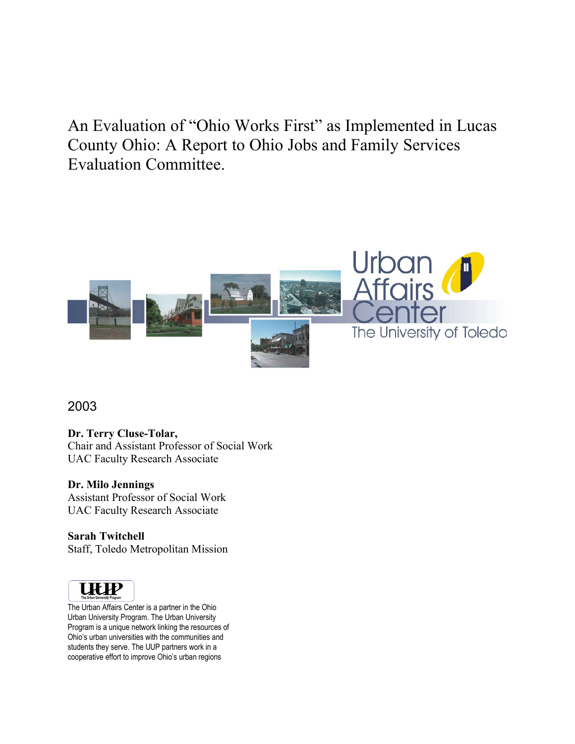An Evaluation of "Ohio Works First" as Implemented in Lucas County Ohio: A Report to Ohio Jobs and Family Services Evaluation Committee.



2003

**Dr. Terry Cluse-Tolar,**

Chair and Assistant Professor of Social Work UAC Faculty Research Associate

### **Dr. Milo Jennings**

Assistant Professor of Social Work UAC Faculty Research Associate

**Sarah Twitchell** Staff, Toledo Metropolitan Mission



The Urban Affairs Center is a partner in the Ohio Urban University Program. The Urban University Program is a unique network linking the resources of Ohio's urban universities with the communities and students they serve. The UUP partners work in a cooperative effort to improve Ohio's urban regions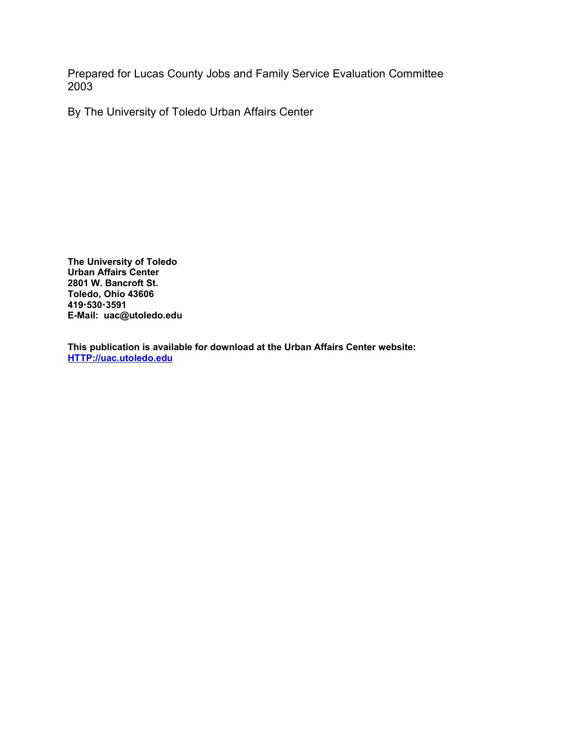Prepared for Lucas County Jobs and Family Service Evaluation Committee 2003

By The University of Toledo Urban Affairs Center

**The University of Toledo Urban Affairs Center 2801 W. Bancroft St. Toledo, Ohio 43606 4195303591 E-Mail: uac@utoledo.edu**

**This publication is available for download at the Urban Affairs Center website: HTTP://uac.utoledo.edu**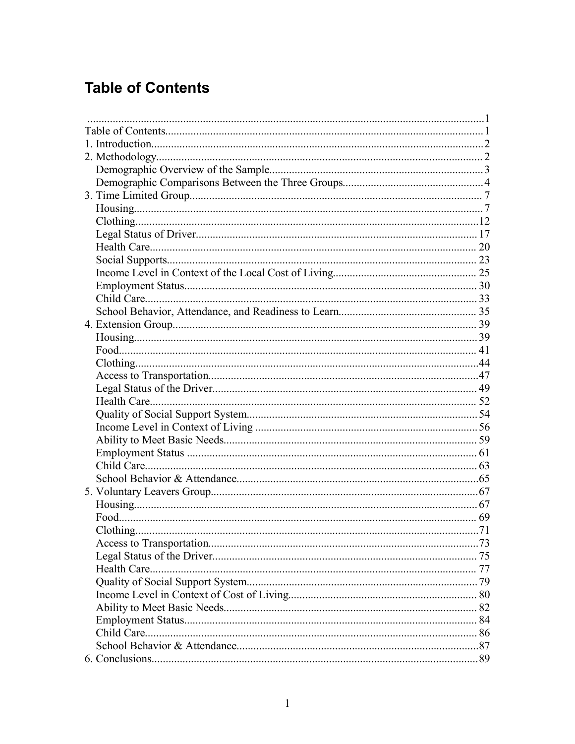# **Table of Contents**

| Child Care. |  |
|-------------|--|
|             |  |
|             |  |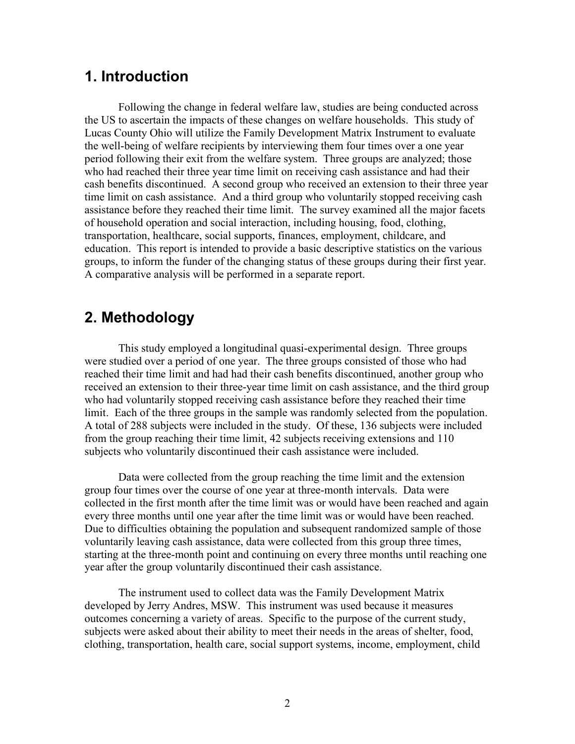## **1. Introduction**

Following the change in federal welfare law, studies are being conducted across the US to ascertain the impacts of these changes on welfare households. This study of Lucas County Ohio will utilize the Family Development Matrix Instrument to evaluate the well-being of welfare recipients by interviewing them four times over a one year period following their exit from the welfare system. Three groups are analyzed; those who had reached their three year time limit on receiving cash assistance and had their cash benefits discontinued. A second group who received an extension to their three year time limit on cash assistance. And a third group who voluntarily stopped receiving cash assistance before they reached their time limit. The survey examined all the major facets of household operation and social interaction, including housing, food, clothing, transportation, healthcare, social supports, finances, employment, childcare, and education. This report is intended to provide a basic descriptive statistics on the various groups, to inform the funder of the changing status of these groups during their first year. A comparative analysis will be performed in a separate report.

## **2. Methodology**

This study employed a longitudinal quasi-experimental design. Three groups were studied over a period of one year. The three groups consisted of those who had reached their time limit and had had their cash benefits discontinued, another group who received an extension to their three-year time limit on cash assistance, and the third group who had voluntarily stopped receiving cash assistance before they reached their time limit. Each of the three groups in the sample was randomly selected from the population. A total of 288 subjects were included in the study. Of these, 136 subjects were included from the group reaching their time limit, 42 subjects receiving extensions and 110 subjects who voluntarily discontinued their cash assistance were included.

Data were collected from the group reaching the time limit and the extension group four times over the course of one year at three-month intervals. Data were collected in the first month after the time limit was or would have been reached and again every three months until one year after the time limit was or would have been reached. Due to difficulties obtaining the population and subsequent randomized sample of those voluntarily leaving cash assistance, data were collected from this group three times, starting at the three-month point and continuing on every three months until reaching one year after the group voluntarily discontinued their cash assistance.

The instrument used to collect data was the Family Development Matrix developed by Jerry Andres, MSW. This instrument was used because it measures outcomes concerning a variety of areas. Specific to the purpose of the current study, subjects were asked about their ability to meet their needs in the areas of shelter, food, clothing, transportation, health care, social support systems, income, employment, child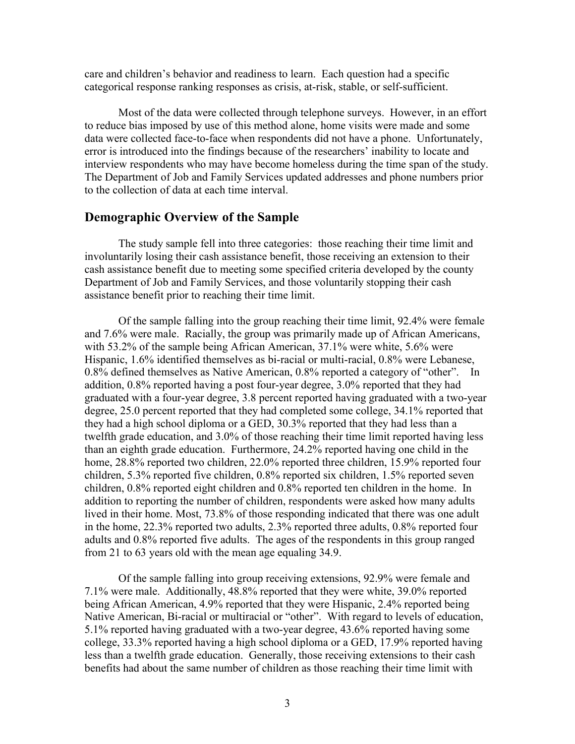care and children's behavior and readiness to learn. Each question had a specific categorical response ranking responses as crisis, at-risk, stable, or self-sufficient.

Most of the data were collected through telephone surveys. However, in an effort to reduce bias imposed by use of this method alone, home visits were made and some data were collected face-to-face when respondents did not have a phone. Unfortunately, error is introduced into the findings because of the researchers' inability to locate and interview respondents who may have become homeless during the time span of the study. The Department of Job and Family Services updated addresses and phone numbers prior to the collection of data at each time interval.

#### **Demographic Overview of the Sample**

The study sample fell into three categories: those reaching their time limit and involuntarily losing their cash assistance benefit, those receiving an extension to their cash assistance benefit due to meeting some specified criteria developed by the county Department of Job and Family Services, and those voluntarily stopping their cash assistance benefit prior to reaching their time limit.

Of the sample falling into the group reaching their time limit, 92.4% were female and 7.6% were male. Racially, the group was primarily made up of African Americans, with 53.2% of the sample being African American, 37.1% were white, 5.6% were Hispanic, 1.6% identified themselves as bi-racial or multi-racial, 0.8% were Lebanese, 0.8% defined themselves as Native American, 0.8% reported a category of "other". In addition, 0.8% reported having a post four-year degree, 3.0% reported that they had graduated with a four-year degree, 3.8 percent reported having graduated with a two-year degree, 25.0 percent reported that they had completed some college, 34.1% reported that they had a high school diploma or a GED, 30.3% reported that they had less than a twelfth grade education, and 3.0% of those reaching their time limit reported having less than an eighth grade education. Furthermore, 24.2% reported having one child in the home, 28.8% reported two children, 22.0% reported three children, 15.9% reported four children, 5.3% reported five children, 0.8% reported six children, 1.5% reported seven children, 0.8% reported eight children and 0.8% reported ten children in the home. In addition to reporting the number of children, respondents were asked how many adults lived in their home. Most, 73.8% of those responding indicated that there was one adult in the home, 22.3% reported two adults, 2.3% reported three adults, 0.8% reported four adults and 0.8% reported five adults. The ages of the respondents in this group ranged from 21 to 63 years old with the mean age equaling 34.9.

Of the sample falling into group receiving extensions, 92.9% were female and 7.1% were male. Additionally, 48.8% reported that they were white, 39.0% reported being African American, 4.9% reported that they were Hispanic, 2.4% reported being Native American, Bi-racial or multiracial or "other". With regard to levels of education, 5.1% reported having graduated with a two-year degree, 43.6% reported having some college, 33.3% reported having a high school diploma or a GED, 17.9% reported having less than a twelfth grade education. Generally, those receiving extensions to their cash benefits had about the same number of children as those reaching their time limit with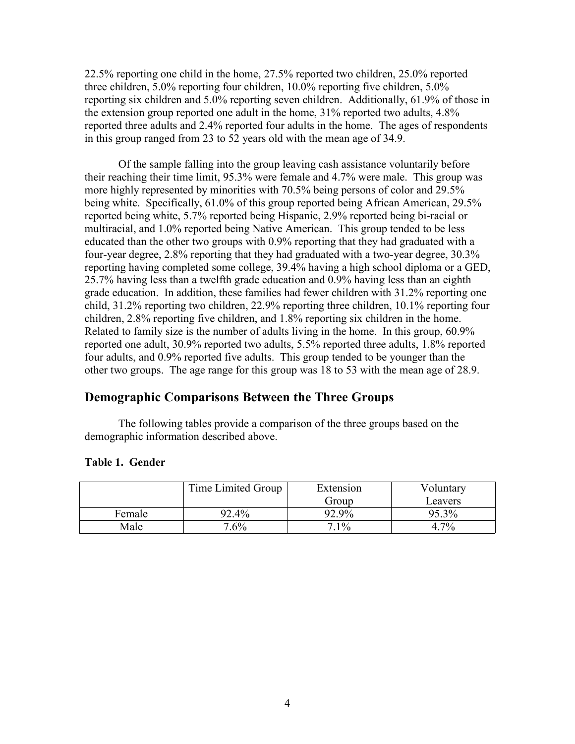22.5% reporting one child in the home, 27.5% reported two children, 25.0% reported three children, 5.0% reporting four children, 10.0% reporting five children, 5.0% reporting six children and 5.0% reporting seven children. Additionally, 61.9% of those in the extension group reported one adult in the home, 31% reported two adults, 4.8% reported three adults and 2.4% reported four adults in the home. The ages of respondents in this group ranged from 23 to 52 years old with the mean age of 34.9.

Of the sample falling into the group leaving cash assistance voluntarily before their reaching their time limit, 95.3% were female and 4.7% were male. This group was more highly represented by minorities with 70.5% being persons of color and 29.5% being white. Specifically, 61.0% of this group reported being African American, 29.5% reported being white, 5.7% reported being Hispanic, 2.9% reported being bi-racial or multiracial, and 1.0% reported being Native American. This group tended to be less educated than the other two groups with 0.9% reporting that they had graduated with a four-year degree, 2.8% reporting that they had graduated with a two-year degree, 30.3% reporting having completed some college, 39.4% having a high school diploma or a GED, 25.7% having less than a twelfth grade education and 0.9% having less than an eighth grade education. In addition, these families had fewer children with 31.2% reporting one child, 31.2% reporting two children, 22.9% reporting three children, 10.1% reporting four children, 2.8% reporting five children, and 1.8% reporting six children in the home. Related to family size is the number of adults living in the home. In this group, 60.9% reported one adult, 30.9% reported two adults, 5.5% reported three adults, 1.8% reported four adults, and 0.9% reported five adults. This group tended to be younger than the other two groups. The age range for this group was 18 to 53 with the mean age of 28.9.

## **Demographic Comparisons Between the Three Groups**

The following tables provide a comparison of the three groups based on the demographic information described above.

### **Table 1. Gender**

|        | Time Limited Group | Extension | Voluntary |
|--------|--------------------|-----------|-----------|
|        |                    | Group     | Leavers   |
| Female | 92.4%              | 92.9%     | 95.3%     |
| Male   | $7.6\%$            | $7.1\%$   | $7\%$     |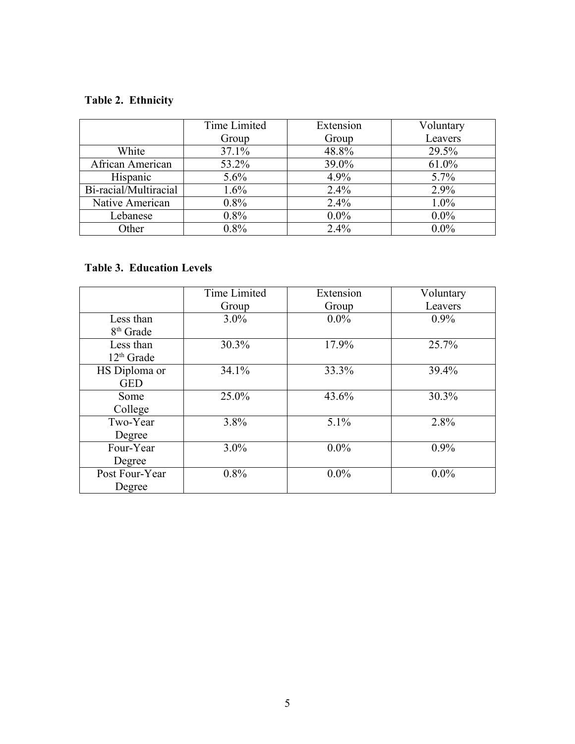## **Table 2. Ethnicity**

|                       | Time Limited | Extension | Voluntary |
|-----------------------|--------------|-----------|-----------|
|                       | Group        | Group     | Leavers   |
| White                 | 37.1%        | 48.8%     | 29.5%     |
| African American      | 53.2%        | 39.0%     | 61.0%     |
| Hispanic              | 5.6%         | 4.9%      | $5.7\%$   |
| Bi-racial/Multiracial | 1.6%         | 2.4%      | 2.9%      |
| Native American       | 0.8%         | 2.4%      | $1.0\%$   |
| Lebanese              | 0.8%         | $0.0\%$   | $0.0\%$   |
| Other                 | 0.8%         | $2.4\%$   | $0.0\%$   |

## **Table 3. Education Levels**

|                       | <b>Time Limited</b> | Extension | Voluntary |
|-----------------------|---------------------|-----------|-----------|
|                       | Group               | Group     | Leavers   |
| Less than             | $3.0\%$             | $0.0\%$   | $0.9\%$   |
| 8 <sup>th</sup> Grade |                     |           |           |
| Less than             | 30.3%               | 17.9%     | 25.7%     |
| $12th$ Grade          |                     |           |           |
| HS Diploma or         | 34.1%               | 33.3%     | 39.4%     |
| <b>GED</b>            |                     |           |           |
| Some                  | 25.0%               | 43.6%     | 30.3%     |
| College               |                     |           |           |
| Two-Year              | 3.8%                | 5.1%      | 2.8%      |
| Degree                |                     |           |           |
| Four-Year             | 3.0%                | $0.0\%$   | $0.9\%$   |
| Degree                |                     |           |           |
| Post Four-Year        | 0.8%                | $0.0\%$   | $0.0\%$   |
| Degree                |                     |           |           |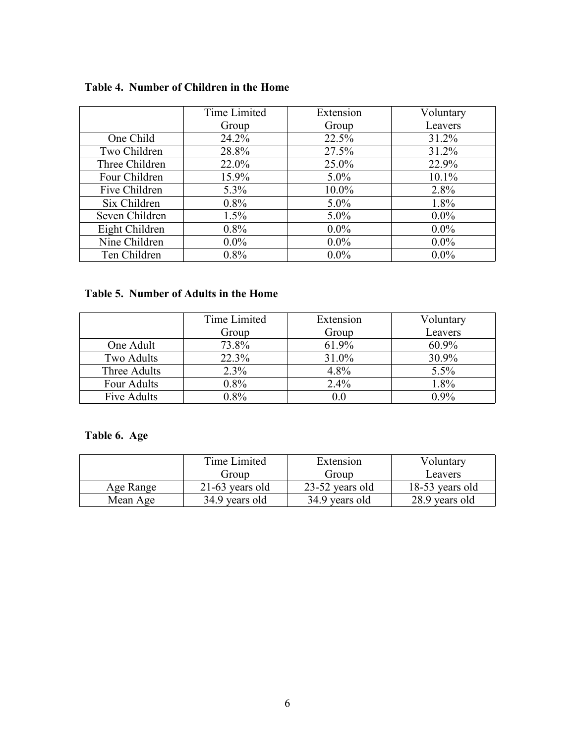| Table 4. Number of Children in the Home |  |  |  |  |  |  |
|-----------------------------------------|--|--|--|--|--|--|
|-----------------------------------------|--|--|--|--|--|--|

|                | Time Limited | Extension | Voluntary |
|----------------|--------------|-----------|-----------|
|                | Group        | Group     | Leavers   |
| One Child      | 24.2%        | 22.5%     | 31.2%     |
| Two Children   | 28.8%        | 27.5%     | 31.2%     |
| Three Children | 22.0%        | 25.0%     | 22.9%     |
| Four Children  | 15.9%        | $5.0\%$   | 10.1%     |
| Five Children  | $5.3\%$      | $10.0\%$  | 2.8%      |
| Six Children   | 0.8%         | $5.0\%$   | 1.8%      |
| Seven Children | 1.5%         | $5.0\%$   | $0.0\%$   |
| Eight Children | $0.8\%$      | $0.0\%$   | $0.0\%$   |
| Nine Children  | $0.0\%$      | $0.0\%$   | $0.0\%$   |
| Ten Children   | 0.8%         | $0.0\%$   | $0.0\%$   |

## **Table 5. Number of Adults in the Home**

|              | Time Limited | Extension | Voluntary |
|--------------|--------------|-----------|-----------|
|              | Group        | Group     | Leavers   |
| One Adult    | 73.8%        | 61.9%     | $60.9\%$  |
| Two Adults   | 22.3%        | 31.0%     | $30.9\%$  |
| Three Adults | 2.3%         | 4.8%      | 5.5%      |
| Four Adults  | 0.8%         | 2.4%      | 1.8%      |
| Five Adults  | $0.8\%$      | 0.0       | $0.9\%$   |

## **Table 6. Age**

|           | Time Limited      | Extension       | Voluntary       |
|-----------|-------------------|-----------------|-----------------|
|           | Group             | Group           | Leavers         |
| Age Range | $21-63$ years old | 23-52 years old | 18-53 years old |
| Mean Age  | 34.9 years old    | 34.9 years old  | 28.9 years old  |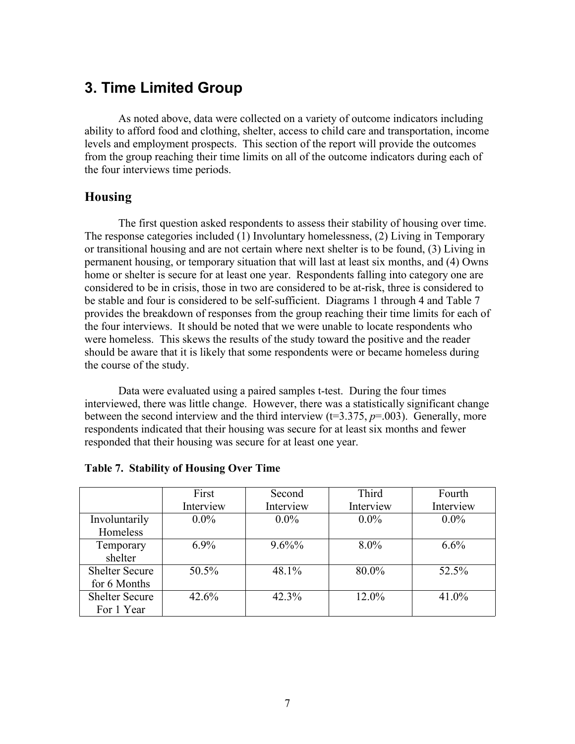## **3. Time Limited Group**

As noted above, data were collected on a variety of outcome indicators including ability to afford food and clothing, shelter, access to child care and transportation, income levels and employment prospects. This section of the report will provide the outcomes from the group reaching their time limits on all of the outcome indicators during each of the four interviews time periods.

### **Housing**

The first question asked respondents to assess their stability of housing over time. The response categories included (1) Involuntary homelessness, (2) Living in Temporary or transitional housing and are not certain where next shelter is to be found, (3) Living in permanent housing, or temporary situation that will last at least six months, and (4) Owns home or shelter is secure for at least one year. Respondents falling into category one are considered to be in crisis, those in two are considered to be at-risk, three is considered to be stable and four is considered to be self-sufficient. Diagrams 1 through 4 and Table 7 provides the breakdown of responses from the group reaching their time limits for each of the four interviews. It should be noted that we were unable to locate respondents who were homeless. This skews the results of the study toward the positive and the reader should be aware that it is likely that some respondents were or became homeless during the course of the study.

Data were evaluated using a paired samples t-test. During the four times interviewed, there was little change. However, there was a statistically significant change between the second interview and the third interview  $(t=3.375, p=.003)$ . Generally, more respondents indicated that their housing was secure for at least six months and fewer responded that their housing was secure for at least one year.

|                       | First     | Second    | Third     | Fourth    |
|-----------------------|-----------|-----------|-----------|-----------|
|                       | Interview | Interview | Interview | Interview |
| Involuntarily         | $0.0\%$   | $0.0\%$   | $0.0\%$   | $0.0\%$   |
| Homeless              |           |           |           |           |
| Temporary             | $6.9\%$   | $9.6\%%$  | $8.0\%$   | $6.6\%$   |
| shelter               |           |           |           |           |
| <b>Shelter Secure</b> | $50.5\%$  | 48.1%     | 80.0%     | 52.5%     |
| for 6 Months          |           |           |           |           |
| <b>Shelter Secure</b> | $42.6\%$  | 42.3%     | 12.0%     | 41.0%     |
| For 1 Year            |           |           |           |           |

#### **Table 7. Stability of Housing Over Time**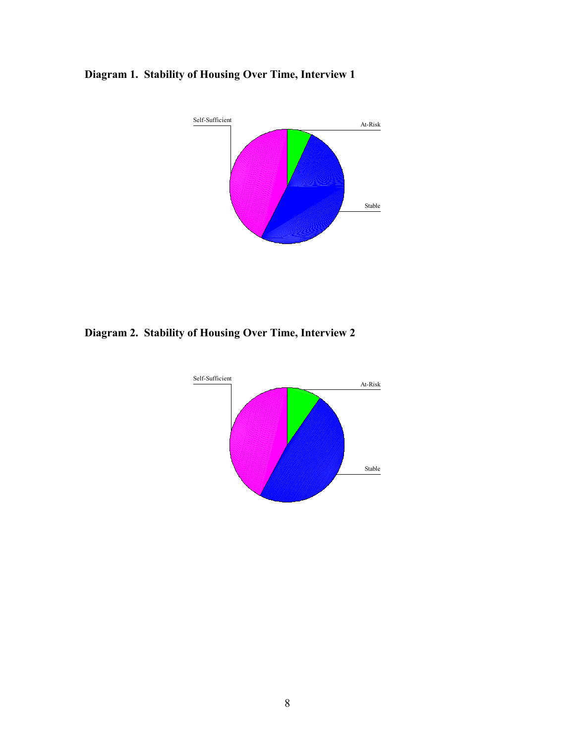## **Diagram 1. Stability of Housing Over Time, Interview 1**



**Diagram 2. Stability of Housing Over Time, Interview 2**

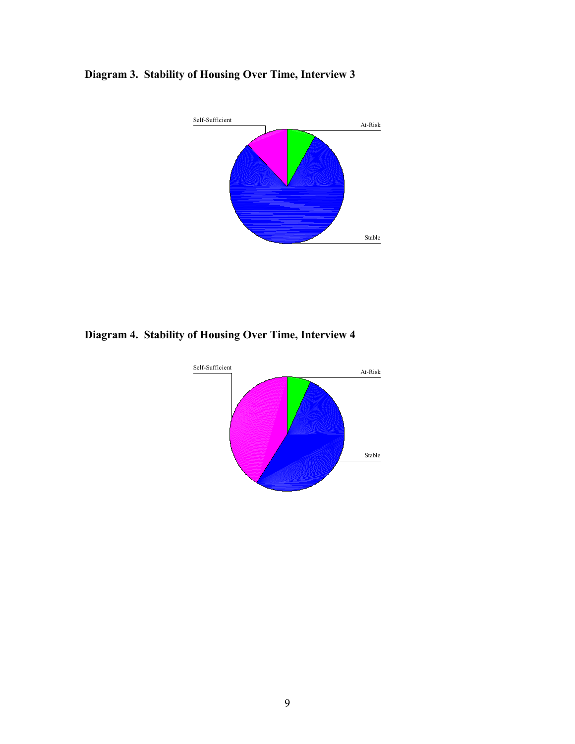## **Diagram 3. Stability of Housing Over Time, Interview 3**



**Diagram 4. Stability of Housing Over Time, Interview 4**

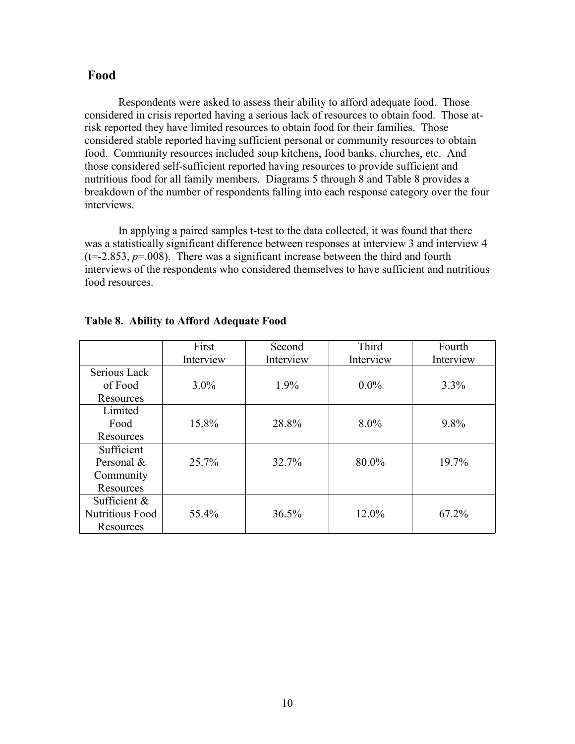#### **Food**

Respondents were asked to assess their ability to afford adequate food. Those considered in crisis reported having a serious lack of resources to obtain food. Those atrisk reported they have limited resources to obtain food for their families. Those considered stable reported having sufficient personal or community resources to obtain food. Community resources included soup kitchens, food banks, churches, etc. And those considered self-sufficient reported having resources to provide sufficient and nutritious food for all family members. Diagrams 5 through 8 and Table 8 provides a breakdown of the number of respondents falling into each response category over the four interviews.

In applying a paired samples t-test to the data collected, it was found that there was a statistically significant difference between responses at interview 3 and interview 4  $(t=-2.853, p=0.008)$ . There was a significant increase between the third and fourth interviews of the respondents who considered themselves to have sufficient and nutritious food resources.

|                        | First     | Second    | Third     | Fourth    |
|------------------------|-----------|-----------|-----------|-----------|
|                        | Interview | Interview | Interview | Interview |
| Serious Lack           |           |           |           |           |
| of Food                | $3.0\%$   | $1.9\%$   | $0.0\%$   | 3.3%      |
| Resources              |           |           |           |           |
| Limited                |           |           |           |           |
| Food                   | 15.8%     | 28.8%     | $8.0\%$   | 9.8%      |
| Resources              |           |           |           |           |
| Sufficient             |           |           |           |           |
| Personal $\&$          | 25.7%     | 32.7%     | 80.0%     | 19.7%     |
| Community              |           |           |           |           |
| Resources              |           |           |           |           |
| Sufficient &           |           |           |           |           |
| <b>Nutritious Food</b> | 55.4%     | 36.5%     | 12.0%     | 67.2%     |
| Resources              |           |           |           |           |

#### **Table 8. Ability to Afford Adequate Food**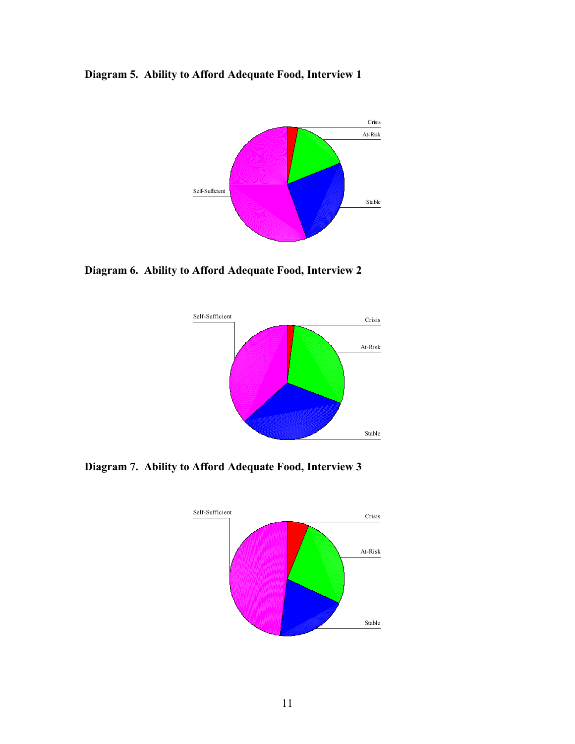**Diagram 5. Ability to Afford Adequate Food, Interview 1**



**Diagram 6. Ability to Afford Adequate Food, Interview 2**



**Diagram 7. Ability to Afford Adequate Food, Interview 3**

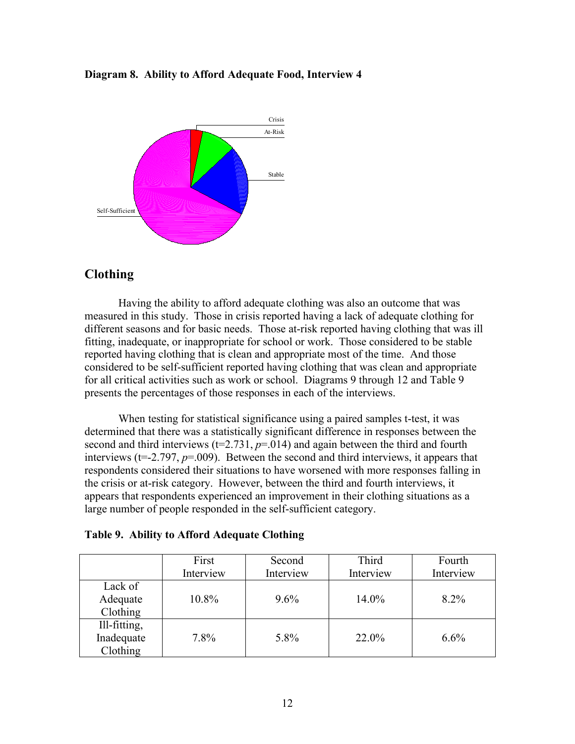#### **Diagram 8. Ability to Afford Adequate Food, Interview 4**



### **Clothing**

Having the ability to afford adequate clothing was also an outcome that was measured in this study. Those in crisis reported having a lack of adequate clothing for different seasons and for basic needs. Those at-risk reported having clothing that was ill fitting, inadequate, or inappropriate for school or work. Those considered to be stable reported having clothing that is clean and appropriate most of the time. And those considered to be self-sufficient reported having clothing that was clean and appropriate for all critical activities such as work or school. Diagrams 9 through 12 and Table 9 presents the percentages of those responses in each of the interviews.

When testing for statistical significance using a paired samples t-test, it was determined that there was a statistically significant difference in responses between the second and third interviews  $(t=2.731, p=0.014)$  and again between the third and fourth interviews (t=-2.797, *p*=.009). Between the second and third interviews, it appears that respondents considered their situations to have worsened with more responses falling in the crisis or at-risk category. However, between the third and fourth interviews, it appears that respondents experienced an improvement in their clothing situations as a large number of people responded in the self-sufficient category.

| Table 9. Ability to Afford Adequate Clothing |  |  |  |  |
|----------------------------------------------|--|--|--|--|
|----------------------------------------------|--|--|--|--|

|              | First     | Second    | Third     | Fourth    |
|--------------|-----------|-----------|-----------|-----------|
|              | Interview | Interview | Interview | Interview |
| Lack of      |           |           |           |           |
| Adequate     | 10.8%     | $9.6\%$   | 14.0%     | 8.2%      |
| Clothing     |           |           |           |           |
| Ill-fitting, |           |           |           |           |
| Inadequate   | 7.8%      | 5.8%      | 22.0%     | $6.6\%$   |
| Clothing     |           |           |           |           |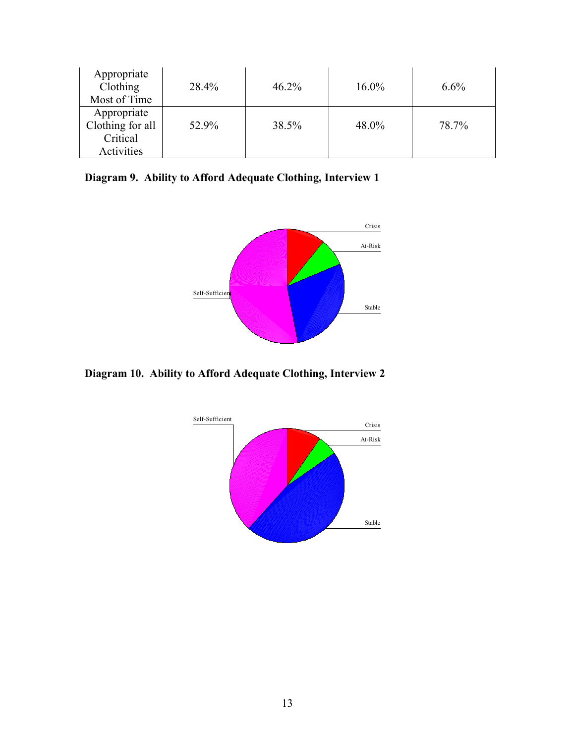| Appropriate<br>Clothing<br>Most of Time                   | 28.4% | $46.2\%$ | $16.0\%$ | $6.6\%$ |
|-----------------------------------------------------------|-------|----------|----------|---------|
| Appropriate<br>Clothing for all<br>Critical<br>Activities | 52.9% | 38.5%    | 48.0%    | 78.7%   |

**Diagram 9. Ability to Afford Adequate Clothing, Interview 1**



**Diagram 10. Ability to Afford Adequate Clothing, Interview 2**

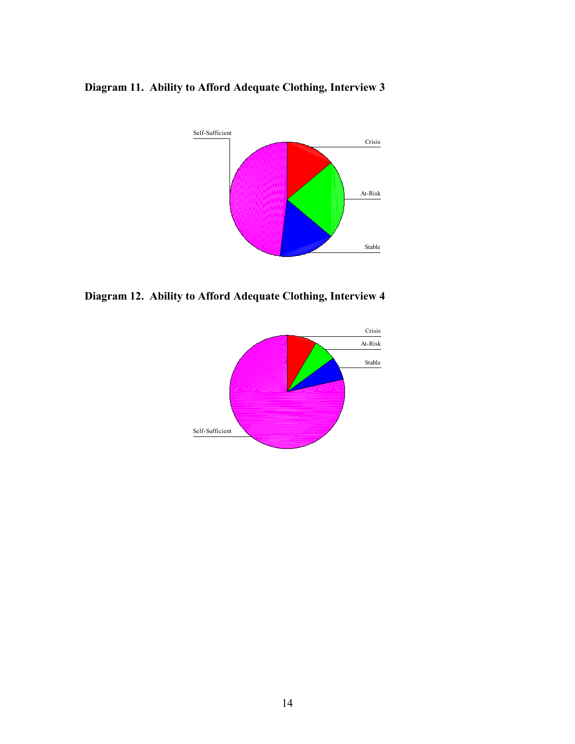**Diagram 11. Ability to Afford Adequate Clothing, Interview 3**



**Diagram 12. Ability to Afford Adequate Clothing, Interview 4**

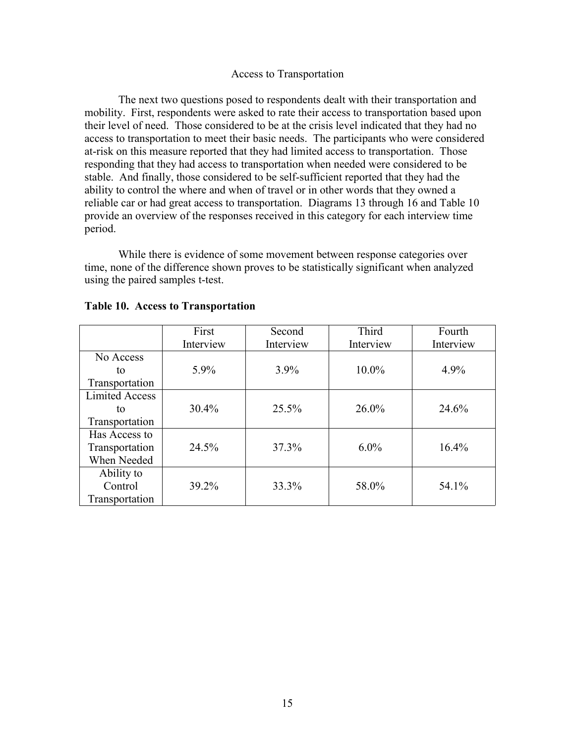#### Access to Transportation

The next two questions posed to respondents dealt with their transportation and mobility. First, respondents were asked to rate their access to transportation based upon their level of need. Those considered to be at the crisis level indicated that they had no access to transportation to meet their basic needs. The participants who were considered at-risk on this measure reported that they had limited access to transportation. Those responding that they had access to transportation when needed were considered to be stable. And finally, those considered to be self-sufficient reported that they had the ability to control the where and when of travel or in other words that they owned a reliable car or had great access to transportation. Diagrams 13 through 16 and Table 10 provide an overview of the responses received in this category for each interview time period.

While there is evidence of some movement between response categories over time, none of the difference shown proves to be statistically significant when analyzed using the paired samples t-test.

|                       | First     | Second    | Third     | Fourth    |
|-----------------------|-----------|-----------|-----------|-----------|
|                       | Interview | Interview | Interview | Interview |
| No Access             |           |           |           |           |
| to                    | 5.9%      | $3.9\%$   | 10.0%     | 4.9%      |
| Transportation        |           |           |           |           |
| <b>Limited Access</b> |           |           |           |           |
| to                    | 30.4%     | 25.5%     | $26.0\%$  | 24.6%     |
| Transportation        |           |           |           |           |
| Has Access to         |           |           |           |           |
| Transportation        | 24.5%     | 37.3%     | $6.0\%$   | 16.4%     |
| When Needed           |           |           |           |           |
| Ability to            |           |           |           |           |
| Control               | 39.2%     | 33.3%     | 58.0%     | 54.1%     |
| Transportation        |           |           |           |           |

#### **Table 10. Access to Transportation**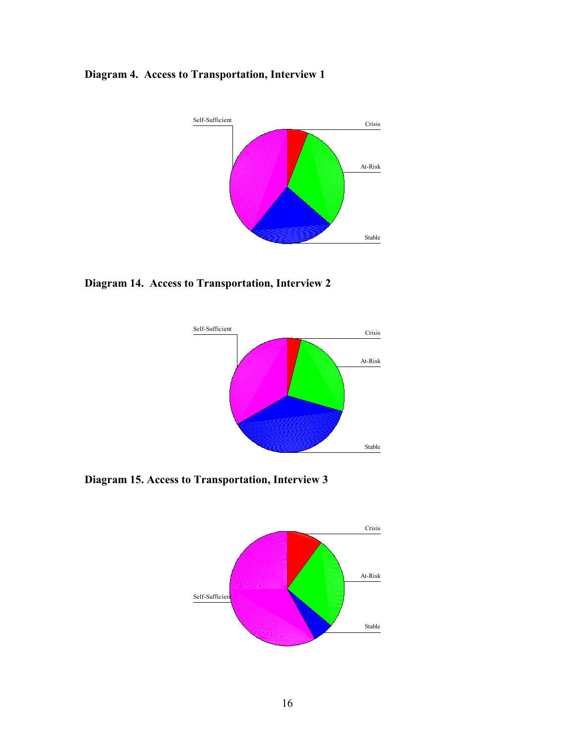## **Diagram 4. Access to Transportation, Interview 1**



**Diagram 14. Access to Transportation, Interview 2**



**Diagram 15. Access to Transportation, Interview 3**

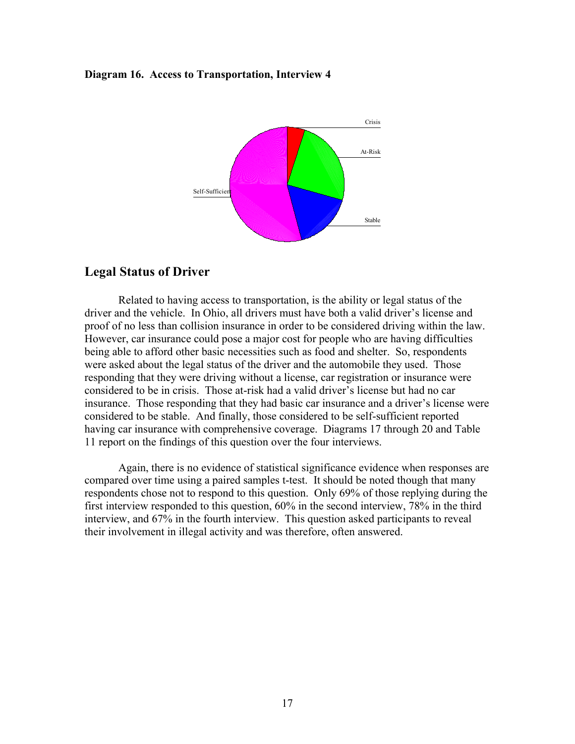#### **Diagram 16. Access to Transportation, Interview 4**



#### **Legal Status of Driver**

Related to having access to transportation, is the ability or legal status of the driver and the vehicle. In Ohio, all drivers must have both a valid driver's license and proof of no less than collision insurance in order to be considered driving within the law. However, car insurance could pose a major cost for people who are having difficulties being able to afford other basic necessities such as food and shelter. So, respondents were asked about the legal status of the driver and the automobile they used. Those responding that they were driving without a license, car registration or insurance were considered to be in crisis. Those at-risk had a valid driver's license but had no car insurance. Those responding that they had basic car insurance and a driver's license were considered to be stable. And finally, those considered to be self-sufficient reported having car insurance with comprehensive coverage. Diagrams 17 through 20 and Table 11 report on the findings of this question over the four interviews.

Again, there is no evidence of statistical significance evidence when responses are compared over time using a paired samples t-test. It should be noted though that many respondents chose not to respond to this question. Only 69% of those replying during the first interview responded to this question, 60% in the second interview, 78% in the third interview, and 67% in the fourth interview. This question asked participants to reveal their involvement in illegal activity and was therefore, often answered.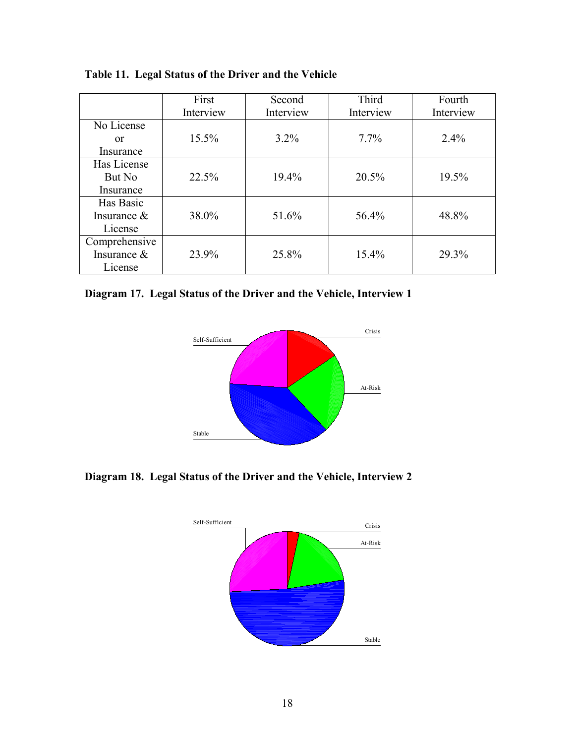|                | First     | Second    | Third     | Fourth    |
|----------------|-----------|-----------|-----------|-----------|
|                | Interview | Interview | Interview | Interview |
| No License     |           |           |           |           |
| 0r             | $15.5\%$  | $3.2\%$   | $7.7\%$   | 2.4%      |
| Insurance      |           |           |           |           |
| Has License    |           |           |           |           |
| But No         | 22.5%     | 19.4%     | 20.5%     | 19.5%     |
| Insurance      |           |           |           |           |
| Has Basic      |           |           |           |           |
| Insurance $\&$ | 38.0%     | 51.6%     | 56.4%     | 48.8%     |
| License        |           |           |           |           |
| Comprehensive  |           |           |           |           |
| Insurance &    | 23.9%     | 25.8%     | 15.4%     | 29.3%     |
| License        |           |           |           |           |

**Table 11. Legal Status of the Driver and the Vehicle**

**Diagram 17. Legal Status of the Driver and the Vehicle, Interview 1**



**Diagram 18. Legal Status of the Driver and the Vehicle, Interview 2**

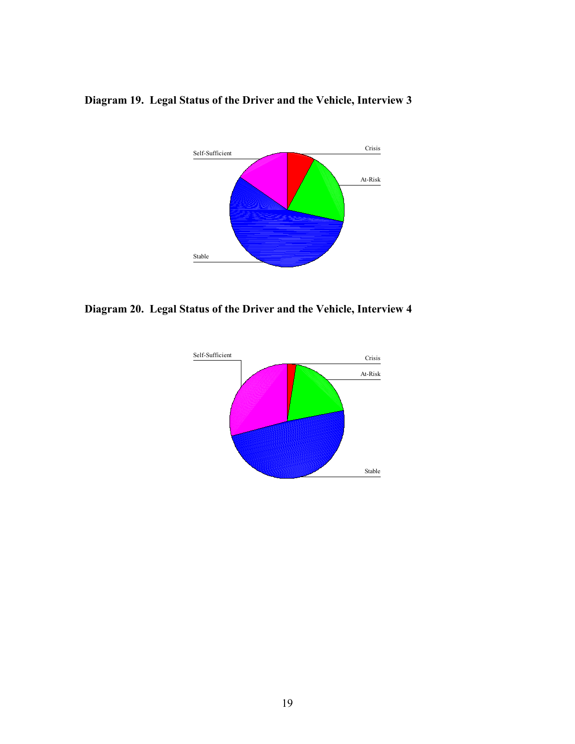

## **Diagram 19. Legal Status of the Driver and the Vehicle, Interview 3**

**Diagram 20. Legal Status of the Driver and the Vehicle, Interview 4** 

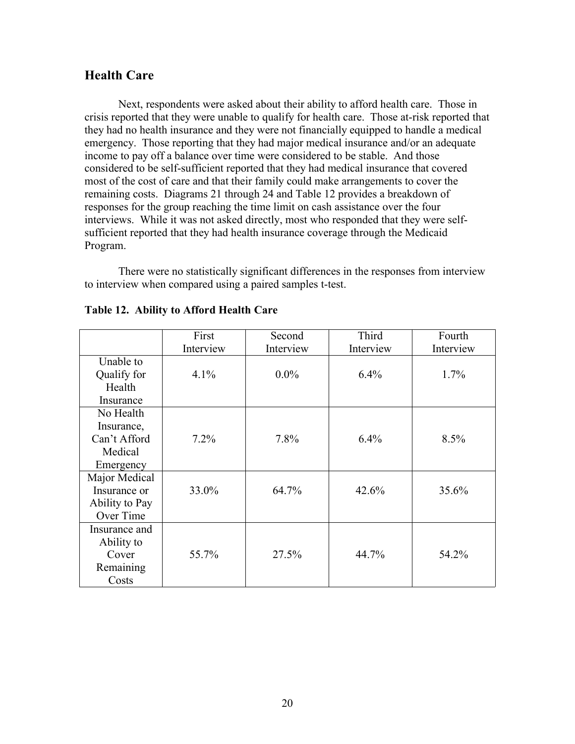### **Health Care**

Next, respondents were asked about their ability to afford health care. Those in crisis reported that they were unable to qualify for health care. Those at-risk reported that they had no health insurance and they were not financially equipped to handle a medical emergency. Those reporting that they had major medical insurance and/or an adequate income to pay off a balance over time were considered to be stable. And those considered to be self-sufficient reported that they had medical insurance that covered most of the cost of care and that their family could make arrangements to cover the remaining costs. Diagrams 21 through 24 and Table 12 provides a breakdown of responses for the group reaching the time limit on cash assistance over the four interviews. While it was not asked directly, most who responded that they were selfsufficient reported that they had health insurance coverage through the Medicaid Program.

There were no statistically significant differences in the responses from interview to interview when compared using a paired samples t-test.

|                | First<br>Interview | Second<br>Interview | Third<br>Interview | Fourth<br>Interview |
|----------------|--------------------|---------------------|--------------------|---------------------|
| Unable to      |                    |                     |                    |                     |
| Qualify for    | 4.1%               | $0.0\%$             | 6.4%               | $1.7\%$             |
| Health         |                    |                     |                    |                     |
| Insurance      |                    |                     |                    |                     |
| No Health      |                    |                     |                    |                     |
| Insurance,     |                    |                     |                    |                     |
| Can't Afford   | $7.2\%$            | 7.8%                | 6.4%               | 8.5%                |
| Medical        |                    |                     |                    |                     |
| Emergency      |                    |                     |                    |                     |
| Major Medical  |                    |                     |                    |                     |
| Insurance or   | 33.0%              | 64.7%               | 42.6%              | 35.6%               |
| Ability to Pay |                    |                     |                    |                     |
| Over Time      |                    |                     |                    |                     |
| Insurance and  |                    |                     |                    |                     |
| Ability to     |                    |                     |                    |                     |
| Cover          | 55.7%              | 27.5%               | 44.7%              | 54.2%               |
| Remaining      |                    |                     |                    |                     |
| Costs          |                    |                     |                    |                     |

#### **Table 12. Ability to Afford Health Care**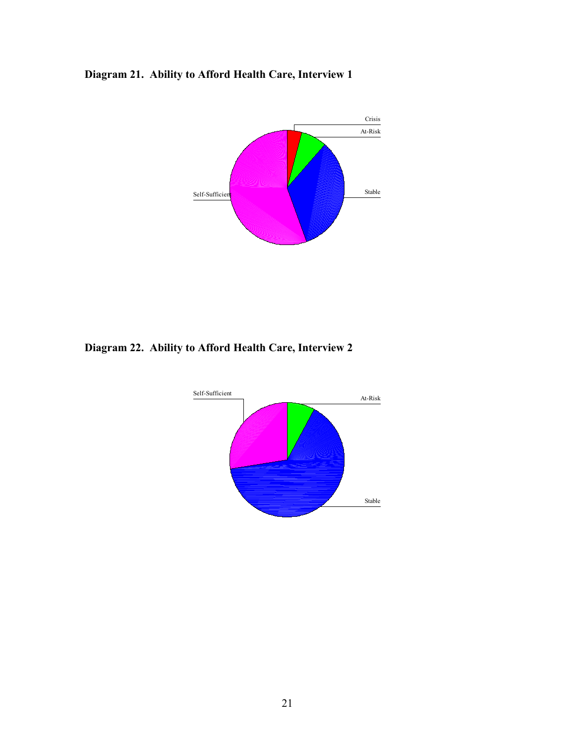



**Diagram 22. Ability to Afford Health Care, Interview 2**

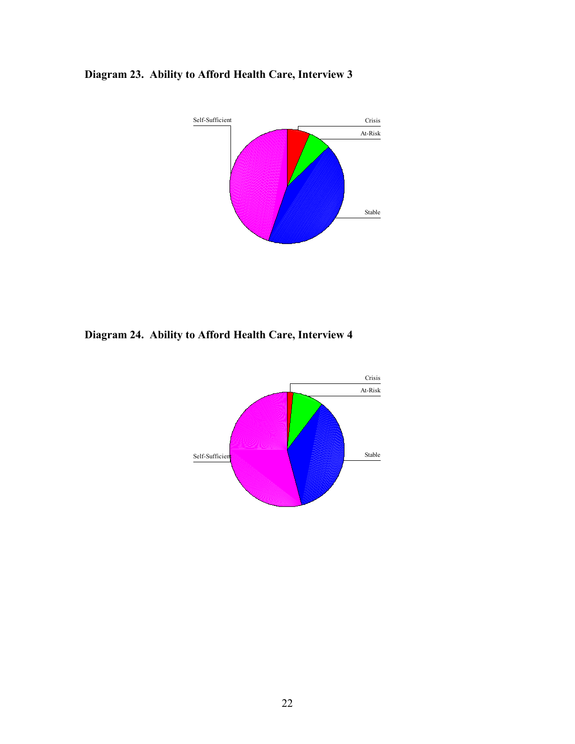



**Diagram 24. Ability to Afford Health Care, Interview 4**

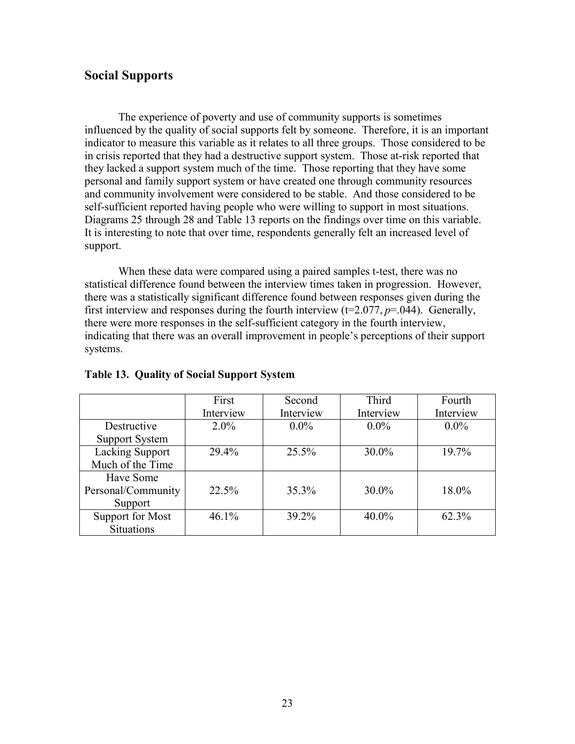### **Social Supports**

The experience of poverty and use of community supports is sometimes influenced by the quality of social supports felt by someone. Therefore, it is an important indicator to measure this variable as it relates to all three groups. Those considered to be in crisis reported that they had a destructive support system. Those at-risk reported that they lacked a support system much of the time. Those reporting that they have some personal and family support system or have created one through community resources and community involvement were considered to be stable. And those considered to be self-sufficient reported having people who were willing to support in most situations. Diagrams 25 through 28 and Table 13 reports on the findings over time on this variable. It is interesting to note that over time, respondents generally felt an increased level of support.

When these data were compared using a paired samples t-test, there was no statistical difference found between the interview times taken in progression. However, there was a statistically significant difference found between responses given during the first interview and responses during the fourth interview  $(t=2.077, p=.044)$ . Generally, there were more responses in the self-sufficient category in the fourth interview, indicating that there was an overall improvement in people's perceptions of their support systems.

|                        | First     | Second    | Third     | Fourth    |
|------------------------|-----------|-----------|-----------|-----------|
|                        | Interview | Interview | Interview | Interview |
| Destructive            | $2.0\%$   | $0.0\%$   | $0.0\%$   | $0.0\%$   |
| <b>Support System</b>  |           |           |           |           |
| <b>Lacking Support</b> | 29.4%     | 25.5%     | $30.0\%$  | $19.7\%$  |
| Much of the Time       |           |           |           |           |
| Have Some              |           |           |           |           |
| Personal/Community     | 22.5%     | 35.3%     | $30.0\%$  | 18.0%     |
| Support                |           |           |           |           |
| Support for Most       | 46.1%     | 39.2%     | $40.0\%$  | 62.3%     |
| <b>Situations</b>      |           |           |           |           |

#### **Table 13. Quality of Social Support System**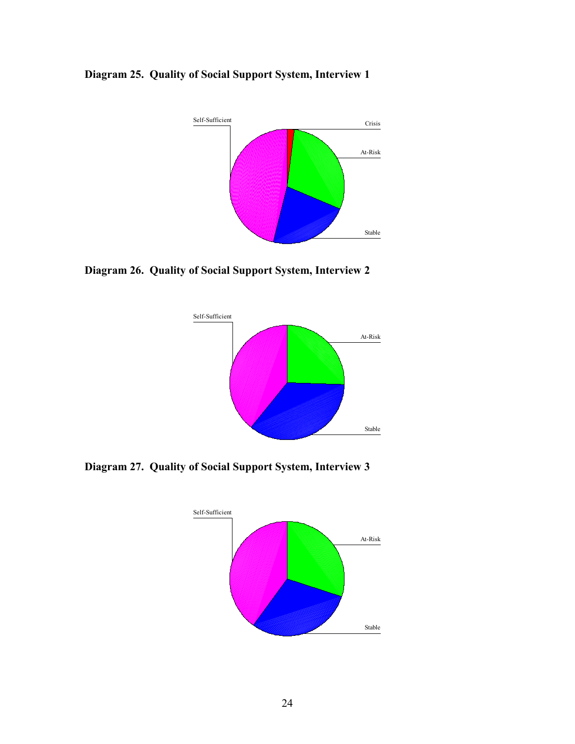**Diagram 25. Quality of Social Support System, Interview 1**



**Diagram 26. Quality of Social Support System, Interview 2**



**Diagram 27. Quality of Social Support System, Interview 3**

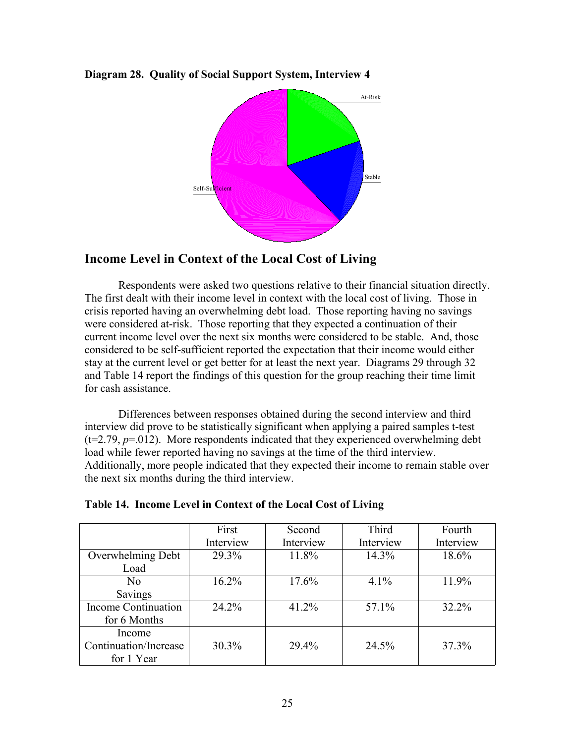**Diagram 28. Quality of Social Support System, Interview 4**



## **Income Level in Context of the Local Cost of Living**

Respondents were asked two questions relative to their financial situation directly. The first dealt with their income level in context with the local cost of living. Those in crisis reported having an overwhelming debt load. Those reporting having no savings were considered at-risk. Those reporting that they expected a continuation of their current income level over the next six months were considered to be stable. And, those considered to be self-sufficient reported the expectation that their income would either stay at the current level or get better for at least the next year. Diagrams 29 through 32 and Table 14 report the findings of this question for the group reaching their time limit for cash assistance.

Differences between responses obtained during the second interview and third interview did prove to be statistically significant when applying a paired samples t-test  $(t=2.79, p=.012)$ . More respondents indicated that they experienced overwhelming debt load while fewer reported having no savings at the time of the third interview. Additionally, more people indicated that they expected their income to remain stable over the next six months during the third interview.

|                            | First     | Second    | <b>Third</b> | Fourth    |
|----------------------------|-----------|-----------|--------------|-----------|
|                            | Interview | Interview | Interview    | Interview |
| Overwhelming Debt          | 29.3%     | 11.8%     | 14.3%        | 18.6%     |
| Load                       |           |           |              |           |
| N <sub>0</sub>             | $16.2\%$  | 17.6%     | $4.1\%$      | 11.9%     |
| Savings                    |           |           |              |           |
| <b>Income Continuation</b> | 24.2%     | 41.2%     | $57.1\%$     | 32.2%     |
| for 6 Months               |           |           |              |           |
| Income                     |           |           |              |           |
| Continuation/Increase      | 30.3%     | 29.4%     | 24.5%        | 37.3%     |
| for 1 Year                 |           |           |              |           |

| Table 14. Income Level in Context of the Local Cost of Living |  |  |  |
|---------------------------------------------------------------|--|--|--|
|                                                               |  |  |  |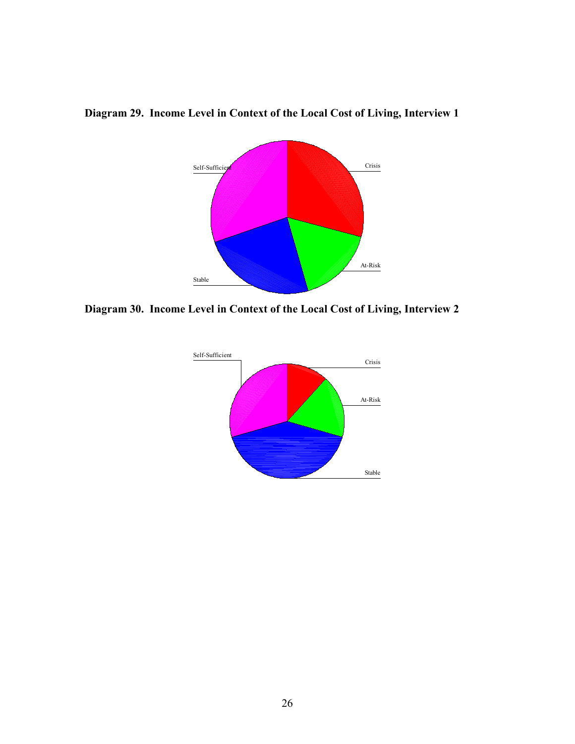

### **Diagram 29. Income Level in Context of the Local Cost of Living, Interview 1**

**Diagram 30. Income Level in Context of the Local Cost of Living, Interview 2**

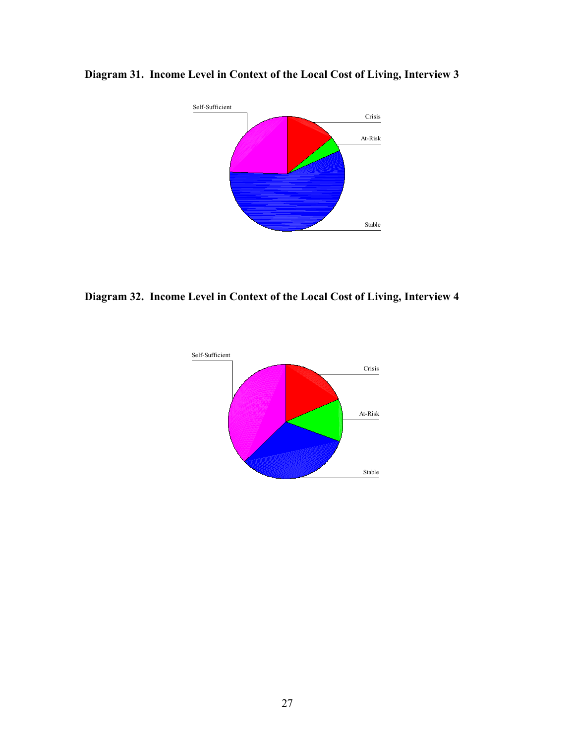

## **Diagram 31. Income Level in Context of the Local Cost of Living, Interview 3**

**Diagram 32. Income Level in Context of the Local Cost of Living, Interview 4**

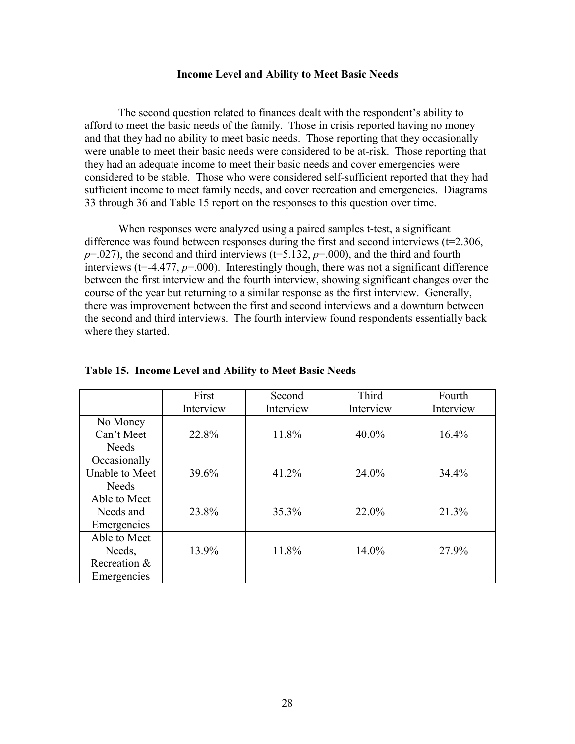#### **Income Level and Ability to Meet Basic Needs**

The second question related to finances dealt with the respondent's ability to afford to meet the basic needs of the family. Those in crisis reported having no money and that they had no ability to meet basic needs. Those reporting that they occasionally were unable to meet their basic needs were considered to be at-risk. Those reporting that they had an adequate income to meet their basic needs and cover emergencies were considered to be stable. Those who were considered self-sufficient reported that they had sufficient income to meet family needs, and cover recreation and emergencies. Diagrams 33 through 36 and Table 15 report on the responses to this question over time.

When responses were analyzed using a paired samples t-test, a significant difference was found between responses during the first and second interviews  $(t=2.306,$  $p=0.027$ , the second and third interviews ( $t=5.132$ ,  $p=0.000$ ), and the third and fourth interviews (t=-4.477, *p*=.000). Interestingly though, there was not a significant difference between the first interview and the fourth interview, showing significant changes over the course of the year but returning to a similar response as the first interview. Generally, there was improvement between the first and second interviews and a downturn between the second and third interviews. The fourth interview found respondents essentially back where they started.

|                | First     | Second    | Third     | Fourth    |
|----------------|-----------|-----------|-----------|-----------|
|                | Interview | Interview | Interview | Interview |
| No Money       |           |           |           |           |
| Can't Meet     | 22.8%     | 11.8%     | $40.0\%$  | 16.4%     |
| <b>Needs</b>   |           |           |           |           |
| Occasionally   |           |           |           |           |
| Unable to Meet | 39.6%     | 41.2%     | 24.0%     | 34.4%     |
| <b>Needs</b>   |           |           |           |           |
| Able to Meet   |           |           |           |           |
| Needs and      | 23.8%     | 35.3%     | 22.0%     | 21.3%     |
| Emergencies    |           |           |           |           |
| Able to Meet   |           |           |           |           |
| Needs,         | 13.9%     | 11.8%     | 14.0%     | 27.9%     |
| Recreation &   |           |           |           |           |
| Emergencies    |           |           |           |           |

#### **Table 15. Income Level and Ability to Meet Basic Needs**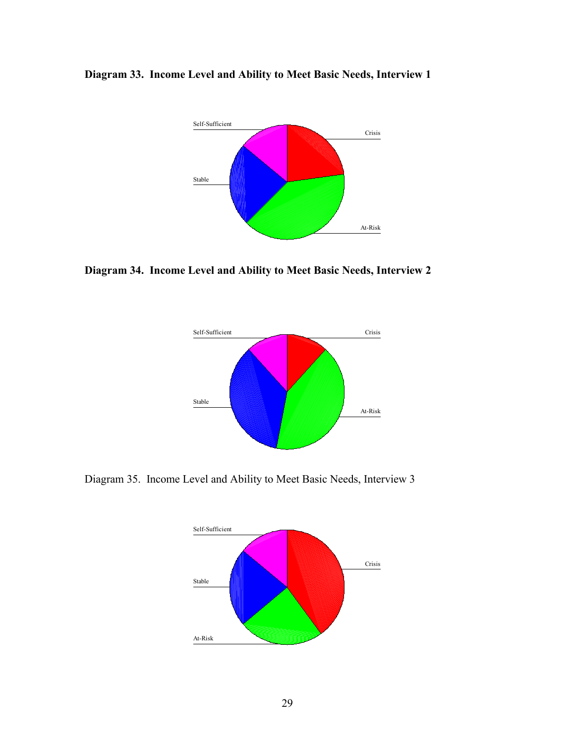**Diagram 33. Income Level and Ability to Meet Basic Needs, Interview 1**



**Diagram 34. Income Level and Ability to Meet Basic Needs, Interview 2**



Diagram 35. Income Level and Ability to Meet Basic Needs, Interview 3

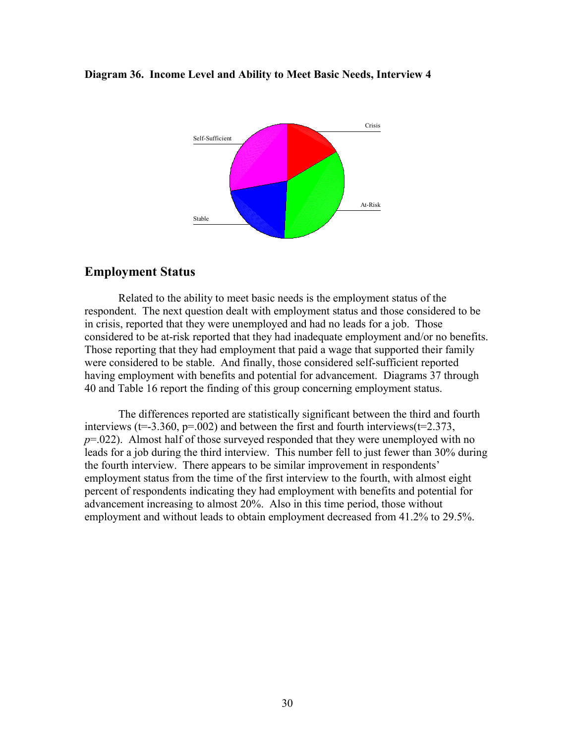#### **Diagram 36. Income Level and Ability to Meet Basic Needs, Interview 4**



#### **Employment Status**

Related to the ability to meet basic needs is the employment status of the respondent. The next question dealt with employment status and those considered to be in crisis, reported that they were unemployed and had no leads for a job. Those considered to be at-risk reported that they had inadequate employment and/or no benefits. Those reporting that they had employment that paid a wage that supported their family were considered to be stable. And finally, those considered self-sufficient reported having employment with benefits and potential for advancement. Diagrams 37 through 40 and Table 16 report the finding of this group concerning employment status.

The differences reported are statistically significant between the third and fourth interviews ( $t=3.360$ ,  $p=.002$ ) and between the first and fourth interviews( $t=2.373$ , *p*=.022). Almost half of those surveyed responded that they were unemployed with no leads for a job during the third interview. This number fell to just fewer than 30% during the fourth interview. There appears to be similar improvement in respondents' employment status from the time of the first interview to the fourth, with almost eight percent of respondents indicating they had employment with benefits and potential for advancement increasing to almost 20%. Also in this time period, those without employment and without leads to obtain employment decreased from 41.2% to 29.5%.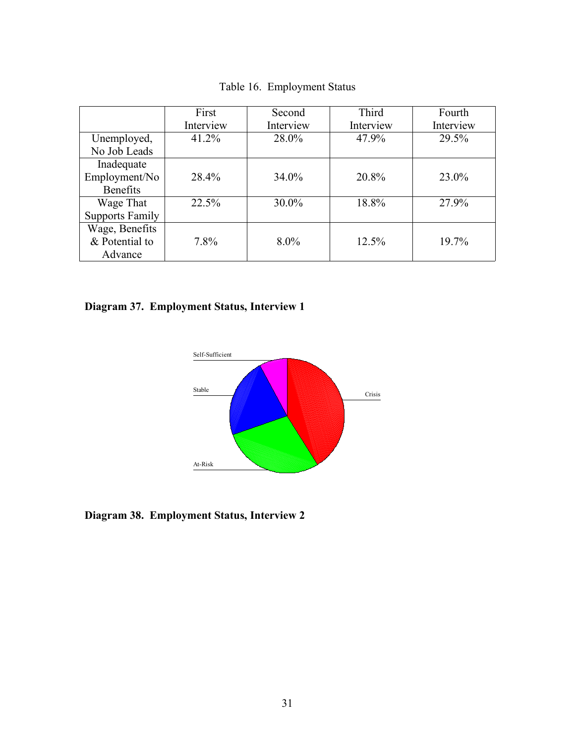|                        | First     | Second    | Third     | Fourth    |
|------------------------|-----------|-----------|-----------|-----------|
|                        | Interview | Interview | Interview | Interview |
| Unemployed,            | 41.2%     | 28.0%     | 47.9%     | 29.5%     |
| No Job Leads           |           |           |           |           |
| Inadequate             |           |           |           |           |
| Employment/No          | 28.4%     | 34.0%     | 20.8%     | 23.0%     |
| <b>Benefits</b>        |           |           |           |           |
| Wage That              | 22.5%     | $30.0\%$  | 18.8%     | 27.9%     |
| <b>Supports Family</b> |           |           |           |           |
| Wage, Benefits         |           |           |           |           |
| & Potential to         | $7.8\%$   | $8.0\%$   | $12.5\%$  | 19.7%     |
| Advance                |           |           |           |           |

Table 16. Employment Status

**Diagram 37. Employment Status, Interview 1**



**Diagram 38. Employment Status, Interview 2**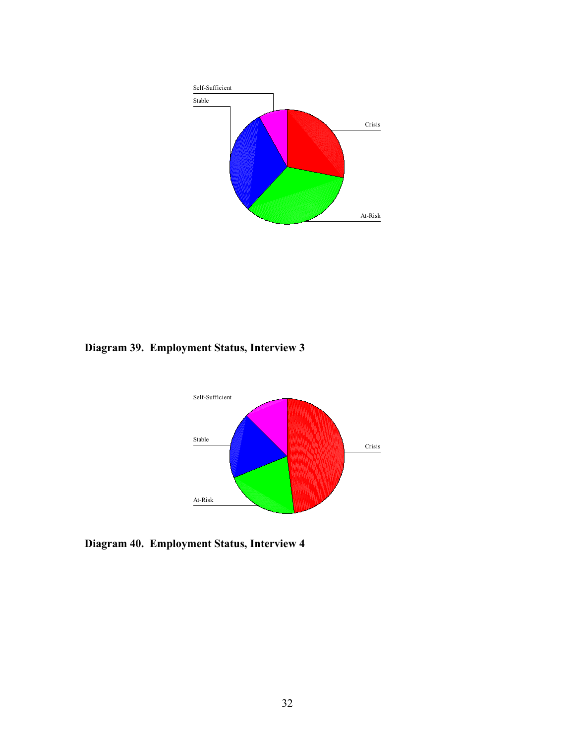

**Diagram 39. Employment Status, Interview 3**



**Diagram 40. Employment Status, Interview 4**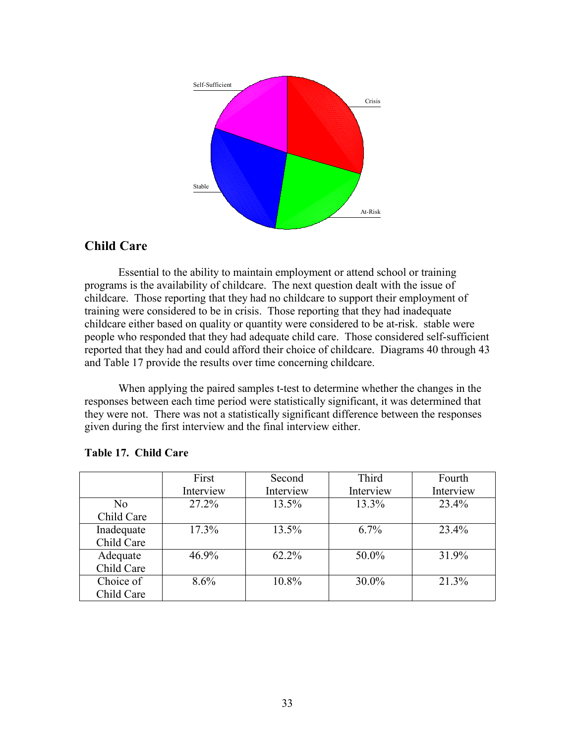

## **Child Care**

Essential to the ability to maintain employment or attend school or training programs is the availability of childcare. The next question dealt with the issue of childcare. Those reporting that they had no childcare to support their employment of training were considered to be in crisis. Those reporting that they had inadequate childcare either based on quality or quantity were considered to be at-risk. stable were people who responded that they had adequate child care. Those considered self-sufficient reported that they had and could afford their choice of childcare. Diagrams 40 through 43 and Table 17 provide the results over time concerning childcare.

When applying the paired samples t-test to determine whether the changes in the responses between each time period were statistically significant, it was determined that they were not. There was not a statistically significant difference between the responses given during the first interview and the final interview either.

|                | First     | Second    | Third     | Fourth    |
|----------------|-----------|-----------|-----------|-----------|
|                | Interview | Interview | Interview | Interview |
| N <sub>0</sub> | 27.2%     | 13.5%     | 13.3%     | 23.4%     |
| Child Care     |           |           |           |           |
| Inadequate     | $17.3\%$  | $13.5\%$  | $6.7\%$   | 23.4%     |
| Child Care     |           |           |           |           |
| Adequate       | 46.9%     | $62.2\%$  | 50.0%     | 31.9%     |
| Child Care     |           |           |           |           |
| Choice of      | 8.6%      | 10.8%     | 30.0%     | 21.3%     |
| Child Care     |           |           |           |           |

#### **Table 17. Child Care**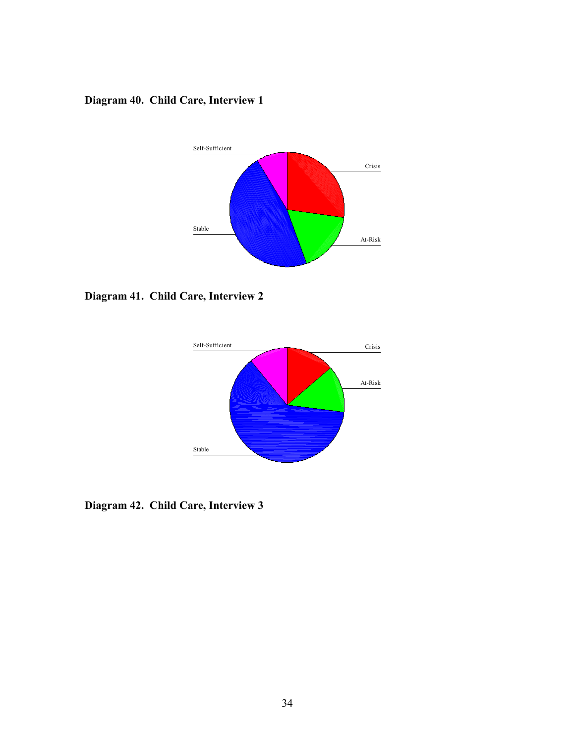## **Diagram 40. Child Care, Interview 1**



**Diagram 41. Child Care, Interview 2**



**Diagram 42. Child Care, Interview 3**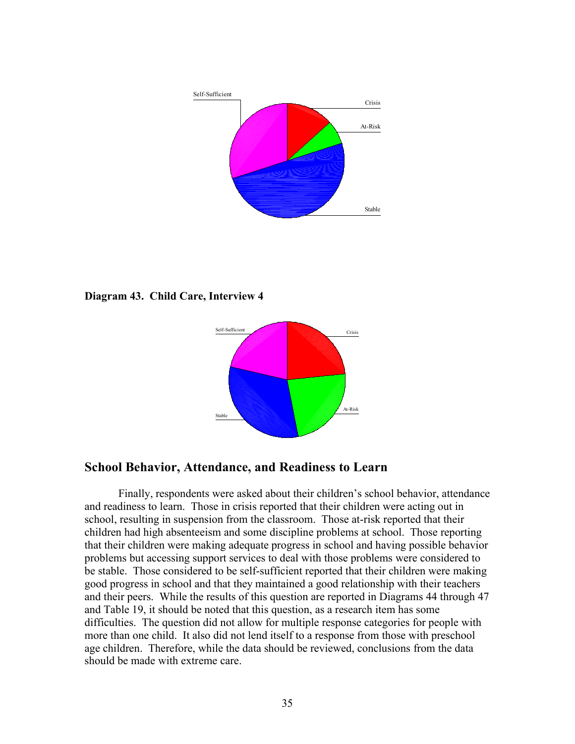

**Diagram 43. Child Care, Interview 4**



# **School Behavior, Attendance, and Readiness to Learn**

Finally, respondents were asked about their children's school behavior, attendance and readiness to learn. Those in crisis reported that their children were acting out in school, resulting in suspension from the classroom. Those at-risk reported that their children had high absenteeism and some discipline problems at school. Those reporting that their children were making adequate progress in school and having possible behavior problems but accessing support services to deal with those problems were considered to be stable. Those considered to be self-sufficient reported that their children were making good progress in school and that they maintained a good relationship with their teachers and their peers. While the results of this question are reported in Diagrams 44 through 47 and Table 19, it should be noted that this question, as a research item has some difficulties. The question did not allow for multiple response categories for people with more than one child. It also did not lend itself to a response from those with preschool age children. Therefore, while the data should be reviewed, conclusions from the data should be made with extreme care.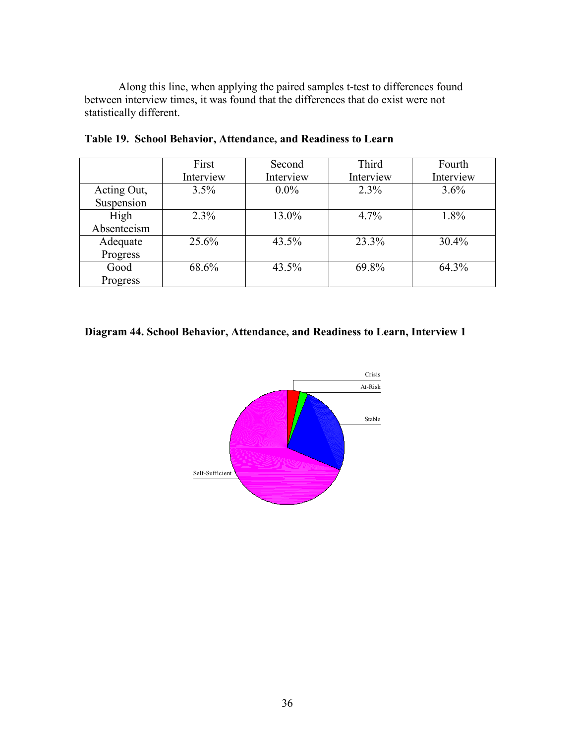Along this line, when applying the paired samples t-test to differences found between interview times, it was found that the differences that do exist were not statistically different.

|             | First     | Second    | Third     | Fourth    |
|-------------|-----------|-----------|-----------|-----------|
|             | Interview | Interview | Interview | Interview |
| Acting Out, | 3.5%      | $0.0\%$   | 2.3%      | 3.6%      |
| Suspension  |           |           |           |           |
| High        | 2.3%      | 13.0%     | 4.7%      | 1.8%      |
| Absenteeism |           |           |           |           |
| Adequate    | 25.6%     | 43.5%     | 23.3%     | $30.4\%$  |
| Progress    |           |           |           |           |
| Good        | 68.6%     | 43.5%     | 69.8%     | 64.3%     |
| Progress    |           |           |           |           |

**Table 19. School Behavior, Attendance, and Readiness to Learn**

# **Diagram 44. School Behavior, Attendance, and Readiness to Learn, Interview 1**

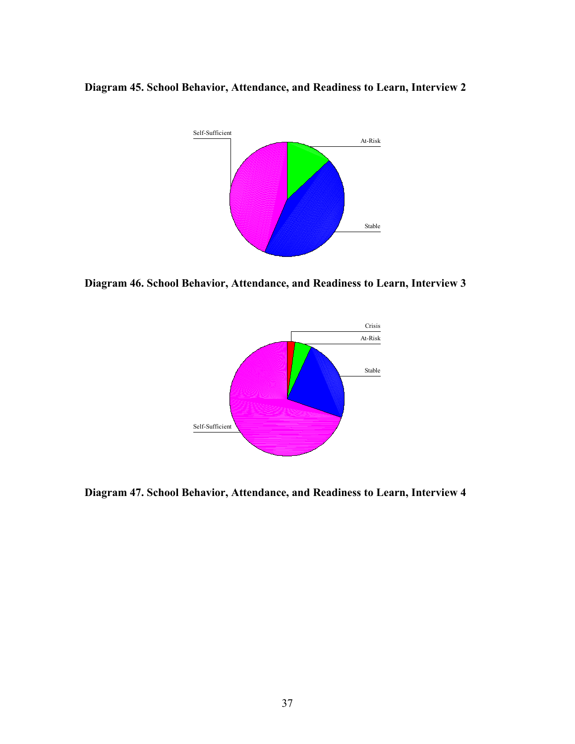**Diagram 45. School Behavior, Attendance, and Readiness to Learn, Interview 2**



**Diagram 46. School Behavior, Attendance, and Readiness to Learn, Interview 3**



**Diagram 47. School Behavior, Attendance, and Readiness to Learn, Interview 4**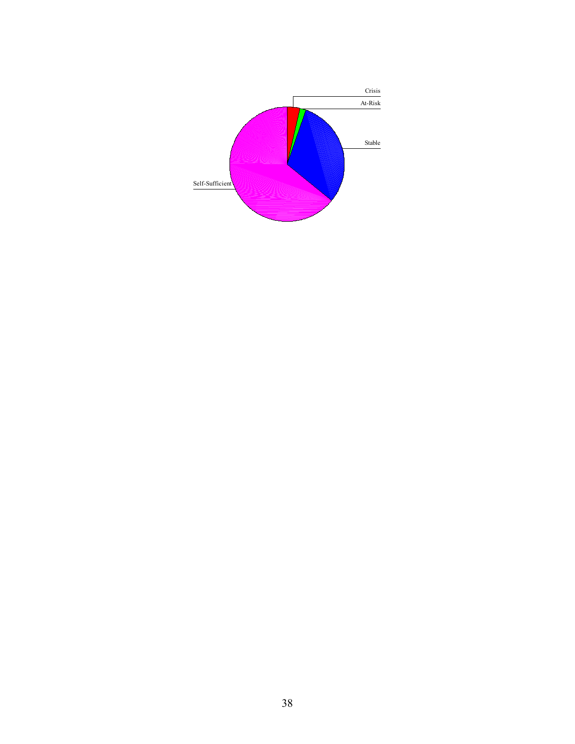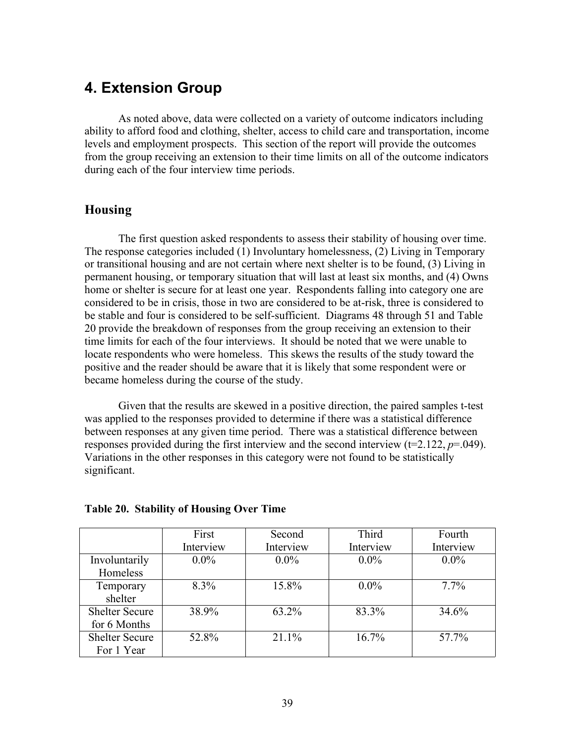# **4. Extension Group**

As noted above, data were collected on a variety of outcome indicators including ability to afford food and clothing, shelter, access to child care and transportation, income levels and employment prospects. This section of the report will provide the outcomes from the group receiving an extension to their time limits on all of the outcome indicators during each of the four interview time periods.

# **Housing**

The first question asked respondents to assess their stability of housing over time. The response categories included (1) Involuntary homelessness, (2) Living in Temporary or transitional housing and are not certain where next shelter is to be found, (3) Living in permanent housing, or temporary situation that will last at least six months, and (4) Owns home or shelter is secure for at least one year. Respondents falling into category one are considered to be in crisis, those in two are considered to be at-risk, three is considered to be stable and four is considered to be self-sufficient. Diagrams 48 through 51 and Table 20 provide the breakdown of responses from the group receiving an extension to their time limits for each of the four interviews. It should be noted that we were unable to locate respondents who were homeless. This skews the results of the study toward the positive and the reader should be aware that it is likely that some respondent were or became homeless during the course of the study.

Given that the results are skewed in a positive direction, the paired samples t-test was applied to the responses provided to determine if there was a statistical difference between responses at any given time period. There was a statistical difference between responses provided during the first interview and the second interview (t=2.122, *p*=.049). Variations in the other responses in this category were not found to be statistically significant.

|                       | First     | Third<br>Second |           | Fourth    |
|-----------------------|-----------|-----------------|-----------|-----------|
|                       | Interview | Interview       | Interview | Interview |
| Involuntarily         | $0.0\%$   | $0.0\%$         | $0.0\%$   | $0.0\%$   |
| Homeless              |           |                 |           |           |
| Temporary             | 8.3%      | 15.8%           | $0.0\%$   | $7.7\%$   |
| shelter               |           |                 |           |           |
| <b>Shelter Secure</b> | 38.9%     | 63.2%           | 83.3%     | 34.6%     |
| for 6 Months          |           |                 |           |           |
| <b>Shelter Secure</b> | 52.8%     | 21.1%           | $16.7\%$  | 57.7%     |
| For 1 Year            |           |                 |           |           |

## **Table 20. Stability of Housing Over Time**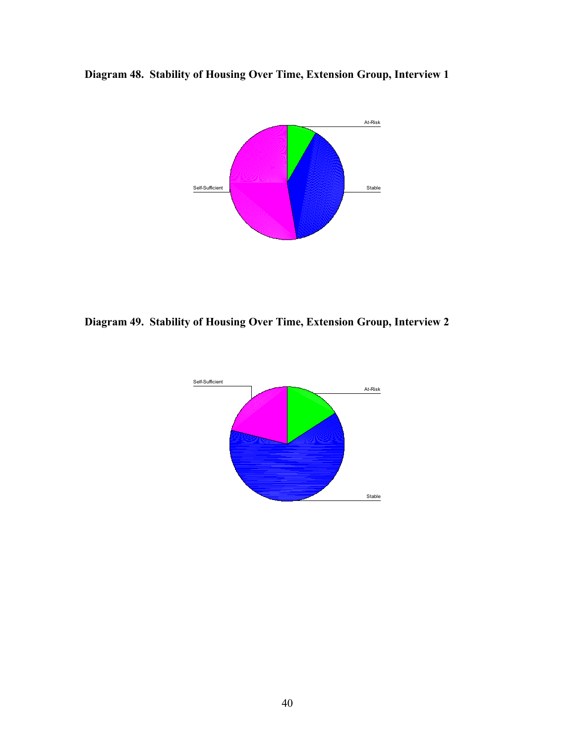



**Diagram 49. Stability of Housing Over Time, Extension Group, Interview 2**

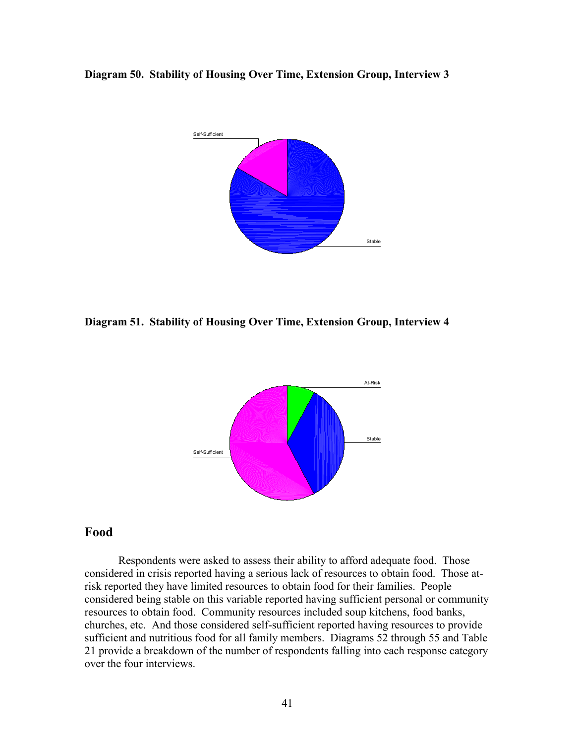**Diagram 50. Stability of Housing Over Time, Extension Group, Interview 3**



**Diagram 51. Stability of Housing Over Time, Extension Group, Interview 4**



## **Food**

Respondents were asked to assess their ability to afford adequate food. Those considered in crisis reported having a serious lack of resources to obtain food. Those atrisk reported they have limited resources to obtain food for their families. People considered being stable on this variable reported having sufficient personal or community resources to obtain food. Community resources included soup kitchens, food banks, churches, etc. And those considered self-sufficient reported having resources to provide sufficient and nutritious food for all family members. Diagrams 52 through 55 and Table 21 provide a breakdown of the number of respondents falling into each response category over the four interviews.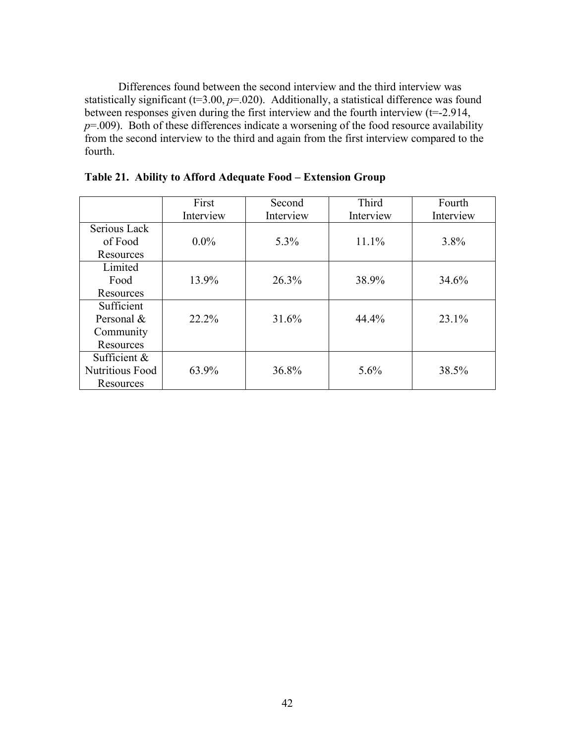Differences found between the second interview and the third interview was statistically significant  $(t=3.00, p=.020)$ . Additionally, a statistical difference was found between responses given during the first interview and the fourth interview (t=-2.914,  $p=0.009$ . Both of these differences indicate a worsening of the food resource availability from the second interview to the third and again from the first interview compared to the fourth.

|                        | First     | Second    | Third     | Fourth    |
|------------------------|-----------|-----------|-----------|-----------|
|                        | Interview | Interview | Interview | Interview |
| Serious Lack           |           |           |           |           |
| of Food                | $0.0\%$   | 5.3%      | 11.1%     | $3.8\%$   |
| Resources              |           |           |           |           |
| Limited                |           |           |           |           |
| Food                   | 13.9%     | 26.3%     | 38.9%     | 34.6%     |
| Resources              |           |           |           |           |
| Sufficient             |           |           |           |           |
| Personal &             | 22.2%     | 31.6%     | 44.4%     | $23.1\%$  |
| Community              |           |           |           |           |
| Resources              |           |           |           |           |
| Sufficient &           |           |           |           |           |
| <b>Nutritious Food</b> | 63.9%     | 36.8%     | $5.6\%$   | 38.5%     |
| Resources              |           |           |           |           |

**Table 21. Ability to Afford Adequate Food – Extension Group**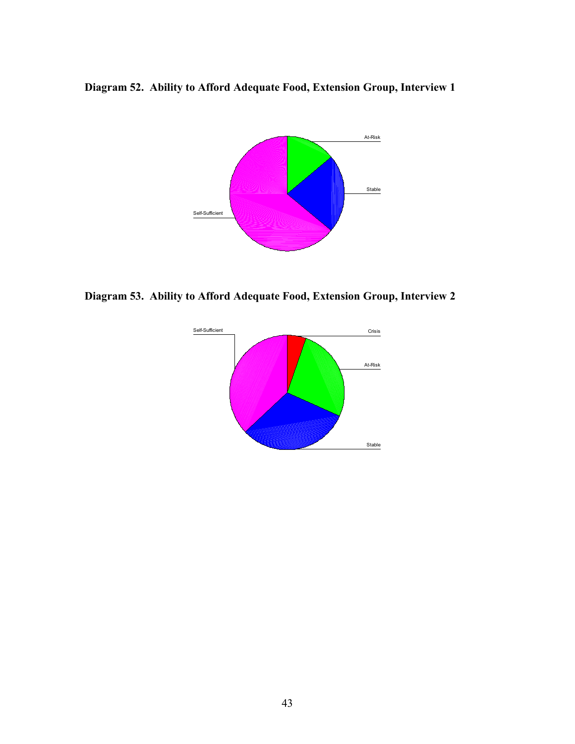**Diagram 52. Ability to Afford Adequate Food, Extension Group, Interview 1**



**Diagram 53. Ability to Afford Adequate Food, Extension Group, Interview 2**

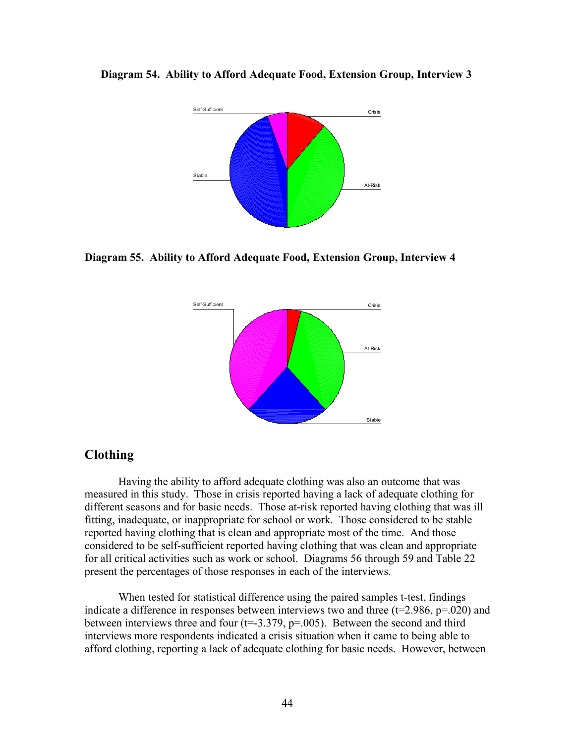

**Diagram 54. Ability to Afford Adequate Food, Extension Group, Interview 3** 

**Diagram 55. Ability to Afford Adequate Food, Extension Group, Interview 4**



# **Clothing**

Having the ability to afford adequate clothing was also an outcome that was measured in this study. Those in crisis reported having a lack of adequate clothing for different seasons and for basic needs. Those at-risk reported having clothing that was ill fitting, inadequate, or inappropriate for school or work. Those considered to be stable reported having clothing that is clean and appropriate most of the time. And those considered to be self-sufficient reported having clothing that was clean and appropriate for all critical activities such as work or school. Diagrams 56 through 59 and Table 22 present the percentages of those responses in each of the interviews.

When tested for statistical difference using the paired samples t-test, findings indicate a difference in responses between interviews two and three  $(t=2.986, p=.020)$  and between interviews three and four  $(t=3.379, p=.005)$ . Between the second and third interviews more respondents indicated a crisis situation when it came to being able to afford clothing, reporting a lack of adequate clothing for basic needs. However, between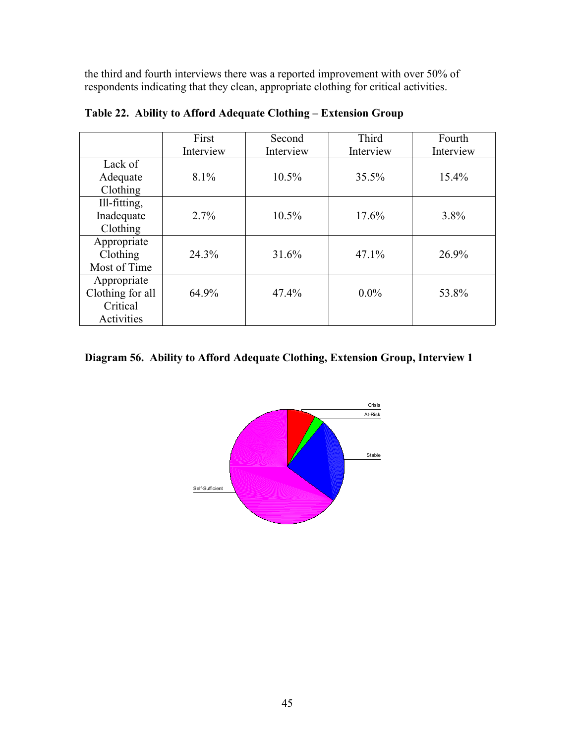the third and fourth interviews there was a reported improvement with over 50% of respondents indicating that they clean, appropriate clothing for critical activities.

|                  | First     | Second    | Third     | Fourth    |
|------------------|-----------|-----------|-----------|-----------|
|                  | Interview | Interview | Interview | Interview |
| Lack of          |           |           |           |           |
| Adequate         | $8.1\%$   | $10.5\%$  | 35.5%     | $15.4\%$  |
| Clothing         |           |           |           |           |
| Ill-fitting,     |           |           |           |           |
| Inadequate       | 2.7%      | $10.5\%$  | 17.6%     | $3.8\%$   |
| Clothing         |           |           |           |           |
| Appropriate      |           |           |           |           |
| Clothing         | 24.3%     | 31.6%     | 47.1%     | 26.9%     |
| Most of Time     |           |           |           |           |
| Appropriate      |           |           |           |           |
| Clothing for all | 64.9%     | 47.4%     | $0.0\%$   | 53.8%     |
| Critical         |           |           |           |           |
| Activities       |           |           |           |           |

**Table 22. Ability to Afford Adequate Clothing – Extension Group**

# **Diagram 56. Ability to Afford Adequate Clothing, Extension Group, Interview 1**

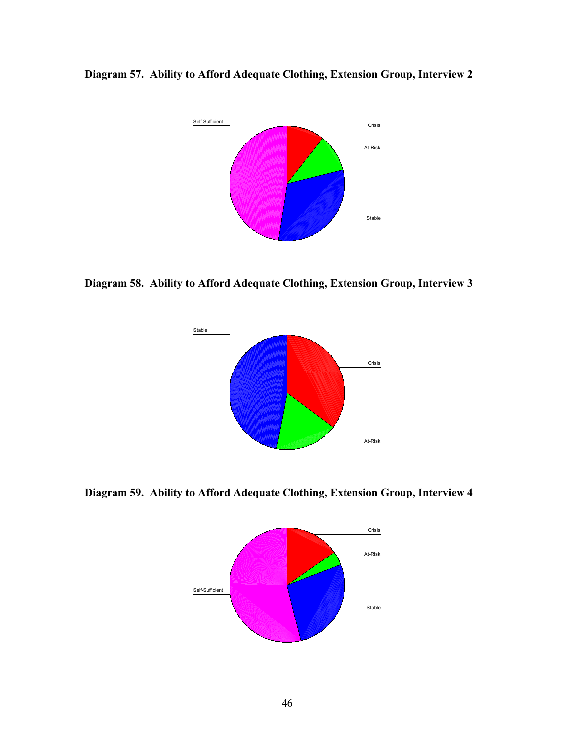**Diagram 57. Ability to Afford Adequate Clothing, Extension Group, Interview 2**



**Diagram 58. Ability to Afford Adequate Clothing, Extension Group, Interview 3**



**Diagram 59. Ability to Afford Adequate Clothing, Extension Group, Interview 4**

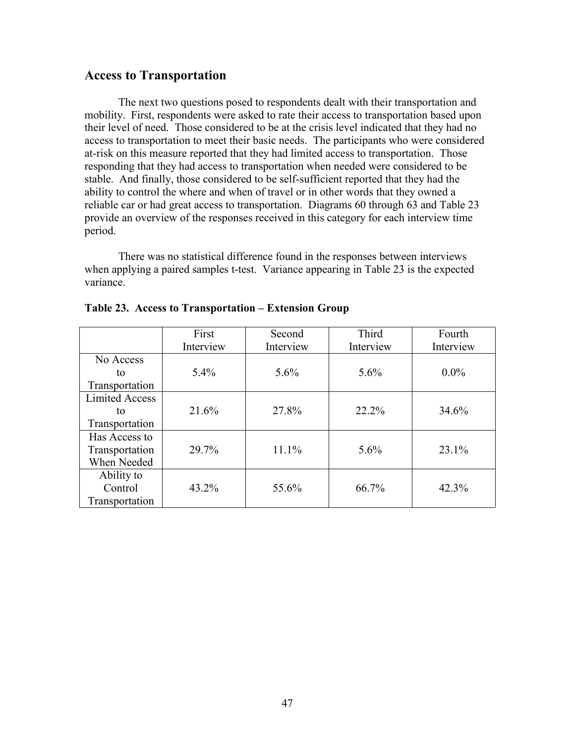## **Access to Transportation**

The next two questions posed to respondents dealt with their transportation and mobility. First, respondents were asked to rate their access to transportation based upon their level of need. Those considered to be at the crisis level indicated that they had no access to transportation to meet their basic needs. The participants who were considered at-risk on this measure reported that they had limited access to transportation. Those responding that they had access to transportation when needed were considered to be stable. And finally, those considered to be self-sufficient reported that they had the ability to control the where and when of travel or in other words that they owned a reliable car or had great access to transportation. Diagrams 60 through 63 and Table 23 provide an overview of the responses received in this category for each interview time period.

There was no statistical difference found in the responses between interviews when applying a paired samples t-test. Variance appearing in Table 23 is the expected variance.

|                       | First     | Second    | Third     | Fourth    |
|-----------------------|-----------|-----------|-----------|-----------|
|                       | Interview | Interview | Interview | Interview |
| No Access             |           |           |           |           |
| to                    | 5.4%      | $5.6\%$   | 5.6%      | $0.0\%$   |
| Transportation        |           |           |           |           |
| <b>Limited Access</b> |           |           |           |           |
| to                    | 21.6%     | 27.8%     | 22.2%     | 34.6%     |
| Transportation        |           |           |           |           |
| Has Access to         |           |           |           |           |
| Transportation        | 29.7%     | 11.1%     | 5.6%      | 23.1%     |
| When Needed           |           |           |           |           |
| Ability to            |           |           |           |           |
| Control               | 43.2%     | 55.6%     | 66.7%     | 42.3%     |
| Transportation        |           |           |           |           |

|  |  |  | Table 23. Access to Transportation – Extension Group |
|--|--|--|------------------------------------------------------|
|--|--|--|------------------------------------------------------|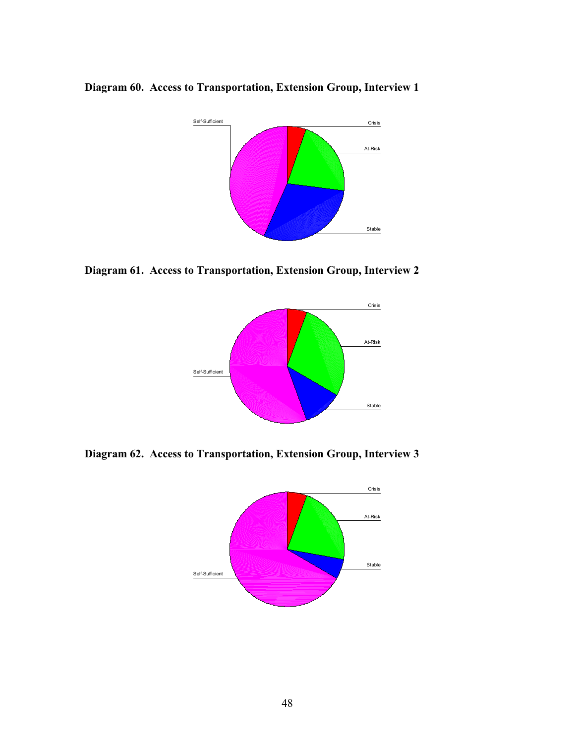**Diagram 60. Access to Transportation, Extension Group, Interview 1**



**Diagram 61. Access to Transportation, Extension Group, Interview 2**



**Diagram 62. Access to Transportation, Extension Group, Interview 3**

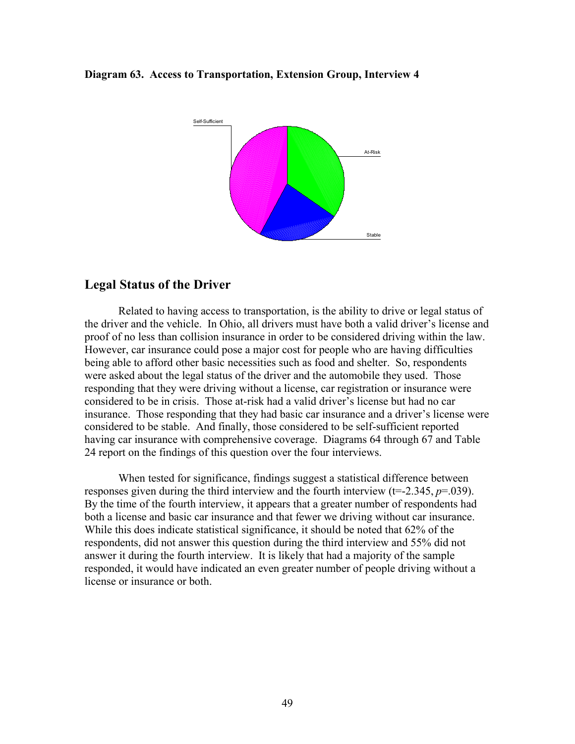#### **Diagram 63. Access to Transportation, Extension Group, Interview 4**



# **Legal Status of the Driver**

Related to having access to transportation, is the ability to drive or legal status of the driver and the vehicle. In Ohio, all drivers must have both a valid driver's license and proof of no less than collision insurance in order to be considered driving within the law. However, car insurance could pose a major cost for people who are having difficulties being able to afford other basic necessities such as food and shelter. So, respondents were asked about the legal status of the driver and the automobile they used. Those responding that they were driving without a license, car registration or insurance were considered to be in crisis. Those at-risk had a valid driver's license but had no car insurance. Those responding that they had basic car insurance and a driver's license were considered to be stable. And finally, those considered to be self-sufficient reported having car insurance with comprehensive coverage. Diagrams 64 through 67 and Table 24 report on the findings of this question over the four interviews.

When tested for significance, findings suggest a statistical difference between responses given during the third interview and the fourth interview (t=-2.345, *p*=.039). By the time of the fourth interview, it appears that a greater number of respondents had both a license and basic car insurance and that fewer we driving without car insurance. While this does indicate statistical significance, it should be noted that 62% of the respondents, did not answer this question during the third interview and 55% did not answer it during the fourth interview. It is likely that had a majority of the sample responded, it would have indicated an even greater number of people driving without a license or insurance or both.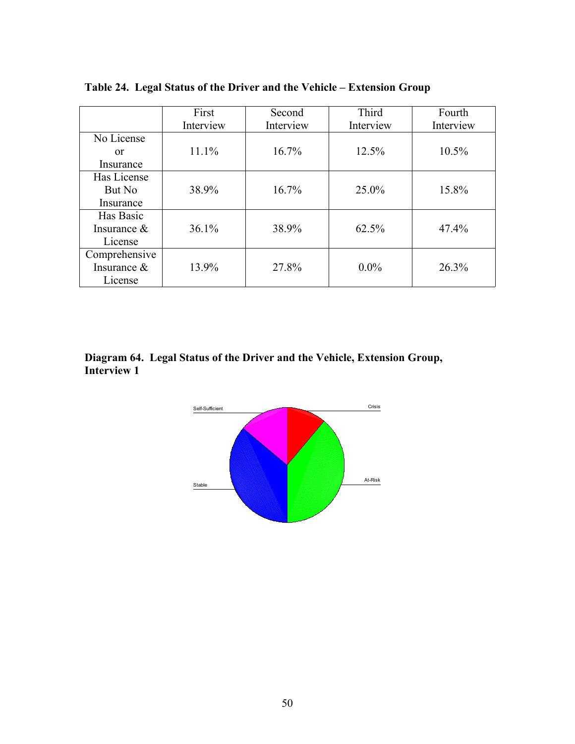|                | First     | Second    | Third     | Fourth    |
|----------------|-----------|-----------|-----------|-----------|
|                | Interview | Interview | Interview | Interview |
| No License     |           |           |           |           |
| or             | 11.1%     | 16.7%     | 12.5%     | $10.5\%$  |
| Insurance      |           |           |           |           |
| Has License    |           |           |           |           |
| But No         | 38.9%     | 16.7%     | 25.0%     | 15.8%     |
| Insurance      |           |           |           |           |
| Has Basic      |           |           |           |           |
| Insurance $\&$ | 36.1%     | 38.9%     | 62.5%     | $47.4\%$  |
| License        |           |           |           |           |
| Comprehensive  |           |           |           |           |
| Insurance &    | 13.9%     | 27.8%     | $0.0\%$   | 26.3%     |
| License        |           |           |           |           |

**Table 24. Legal Status of the Driver and the Vehicle – Extension Group**

**Diagram 64. Legal Status of the Driver and the Vehicle, Extension Group, Interview 1**

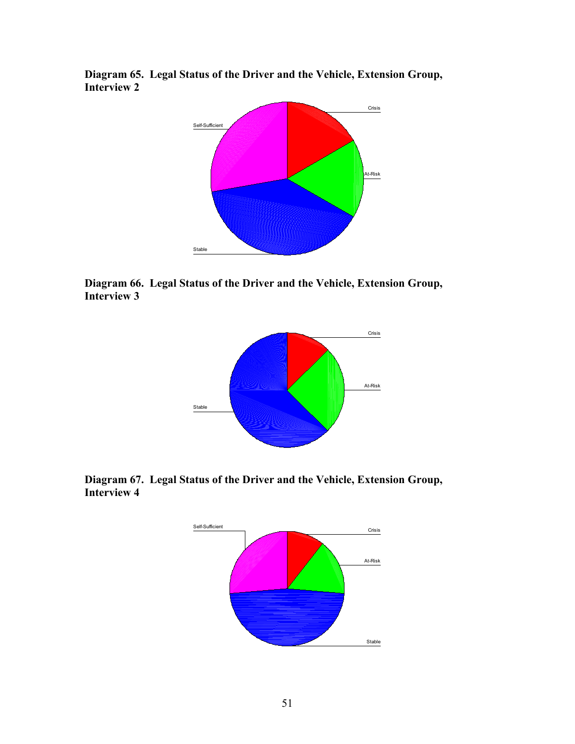**Diagram 65. Legal Status of the Driver and the Vehicle, Extension Group, Interview 2**



**Diagram 66. Legal Status of the Driver and the Vehicle, Extension Group, Interview 3**



**Diagram 67. Legal Status of the Driver and the Vehicle, Extension Group, Interview 4**

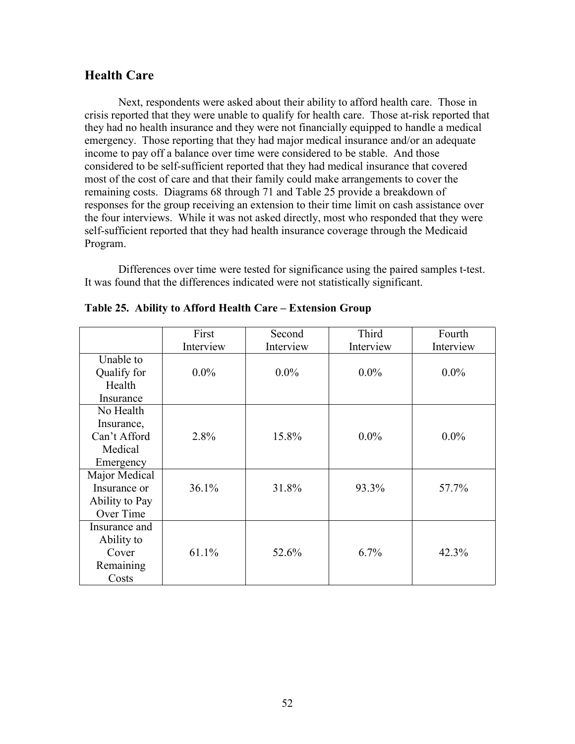# **Health Care**

Next, respondents were asked about their ability to afford health care. Those in crisis reported that they were unable to qualify for health care. Those at-risk reported that they had no health insurance and they were not financially equipped to handle a medical emergency. Those reporting that they had major medical insurance and/or an adequate income to pay off a balance over time were considered to be stable. And those considered to be self-sufficient reported that they had medical insurance that covered most of the cost of care and that their family could make arrangements to cover the remaining costs. Diagrams 68 through 71 and Table 25 provide a breakdown of responses for the group receiving an extension to their time limit on cash assistance over the four interviews. While it was not asked directly, most who responded that they were self-sufficient reported that they had health insurance coverage through the Medicaid Program.

Differences over time were tested for significance using the paired samples t-test. It was found that the differences indicated were not statistically significant.

|                | First     | Second    | Third     | Fourth    |
|----------------|-----------|-----------|-----------|-----------|
|                | Interview | Interview | Interview | Interview |
| Unable to      |           |           |           |           |
| Qualify for    | $0.0\%$   | $0.0\%$   | $0.0\%$   | $0.0\%$   |
| Health         |           |           |           |           |
| Insurance      |           |           |           |           |
| No Health      |           |           |           |           |
| Insurance,     |           |           |           |           |
| Can't Afford   | 2.8%      | 15.8%     | $0.0\%$   | $0.0\%$   |
| Medical        |           |           |           |           |
| Emergency      |           |           |           |           |
| Major Medical  |           |           |           |           |
| Insurance or   | 36.1%     | 31.8%     | 93.3%     | 57.7%     |
| Ability to Pay |           |           |           |           |
| Over Time      |           |           |           |           |
| Insurance and  |           |           |           |           |
| Ability to     |           |           |           |           |
| Cover          | 61.1%     | 52.6%     | 6.7%      | 42.3%     |
| Remaining      |           |           |           |           |
| Costs          |           |           |           |           |

**Table 25. Ability to Afford Health Care – Extension Group**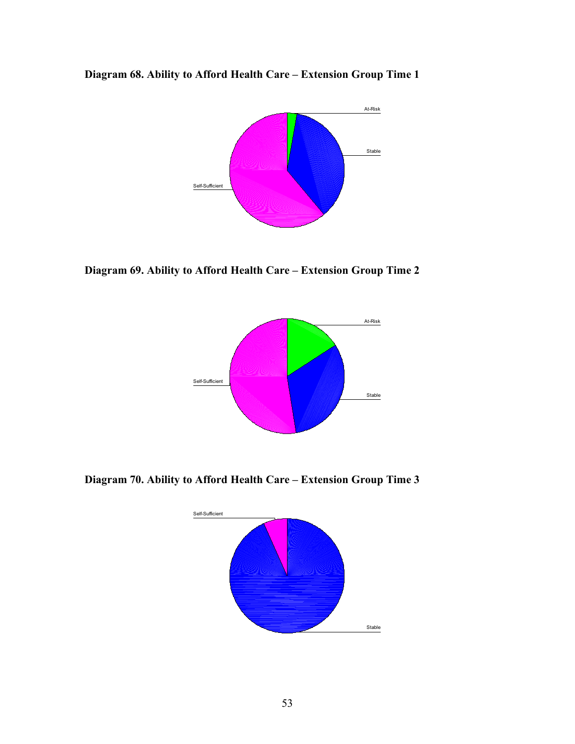**Diagram 68. Ability to Afford Health Care – Extension Group Time 1**



**Diagram 69. Ability to Afford Health Care – Extension Group Time 2**



**Diagram 70. Ability to Afford Health Care – Extension Group Time 3**

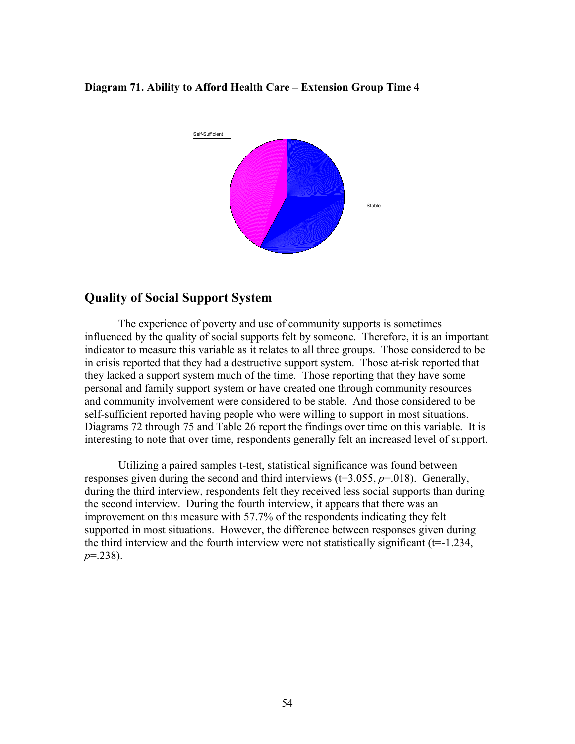#### **Diagram 71. Ability to Afford Health Care – Extension Group Time 4**



# **Quality of Social Support System**

The experience of poverty and use of community supports is sometimes influenced by the quality of social supports felt by someone. Therefore, it is an important indicator to measure this variable as it relates to all three groups. Those considered to be in crisis reported that they had a destructive support system. Those at-risk reported that they lacked a support system much of the time. Those reporting that they have some personal and family support system or have created one through community resources and community involvement were considered to be stable. And those considered to be self-sufficient reported having people who were willing to support in most situations. Diagrams 72 through 75 and Table 26 report the findings over time on this variable. It is interesting to note that over time, respondents generally felt an increased level of support.

Utilizing a paired samples t-test, statistical significance was found between responses given during the second and third interviews  $(t=3.055, p=.018)$ . Generally, during the third interview, respondents felt they received less social supports than during the second interview. During the fourth interview, it appears that there was an improvement on this measure with 57.7% of the respondents indicating they felt supported in most situations. However, the difference between responses given during the third interview and the fourth interview were not statistically significant (t=-1.234, *p*=.238).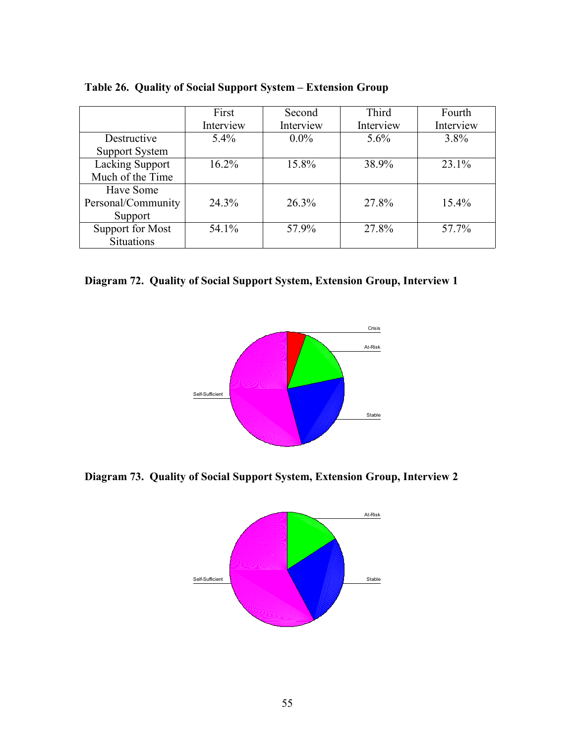|                        | First     | Second    | Third     | Fourth    |
|------------------------|-----------|-----------|-----------|-----------|
|                        | Interview | Interview | Interview | Interview |
| Destructive            | $5.4\%$   | $0.0\%$   | $5.6\%$   | $3.8\%$   |
| <b>Support System</b>  |           |           |           |           |
| <b>Lacking Support</b> | $16.2\%$  | 15.8%     | 38.9%     | 23.1%     |
| Much of the Time       |           |           |           |           |
| Have Some              |           |           |           |           |
| Personal/Community     | 24.3%     | 26.3%     | 27.8%     | $15.4\%$  |
| Support                |           |           |           |           |
| Support for Most       | 54.1%     | 57.9%     | 27.8%     | 57.7%     |
| <b>Situations</b>      |           |           |           |           |

**Table 26. Quality of Social Support System – Extension Group**

**Diagram 72. Quality of Social Support System, Extension Group, Interview 1**



**Diagram 73. Quality of Social Support System, Extension Group, Interview 2**

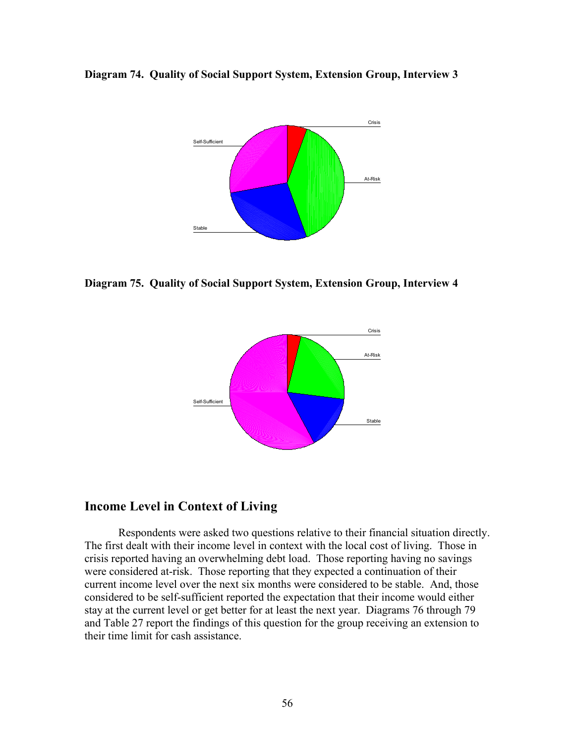



**Diagram 75. Quality of Social Support System, Extension Group, Interview 4**



## **Income Level in Context of Living**

Respondents were asked two questions relative to their financial situation directly. The first dealt with their income level in context with the local cost of living. Those in crisis reported having an overwhelming debt load. Those reporting having no savings were considered at-risk. Those reporting that they expected a continuation of their current income level over the next six months were considered to be stable. And, those considered to be self-sufficient reported the expectation that their income would either stay at the current level or get better for at least the next year. Diagrams 76 through 79 and Table 27 report the findings of this question for the group receiving an extension to their time limit for cash assistance.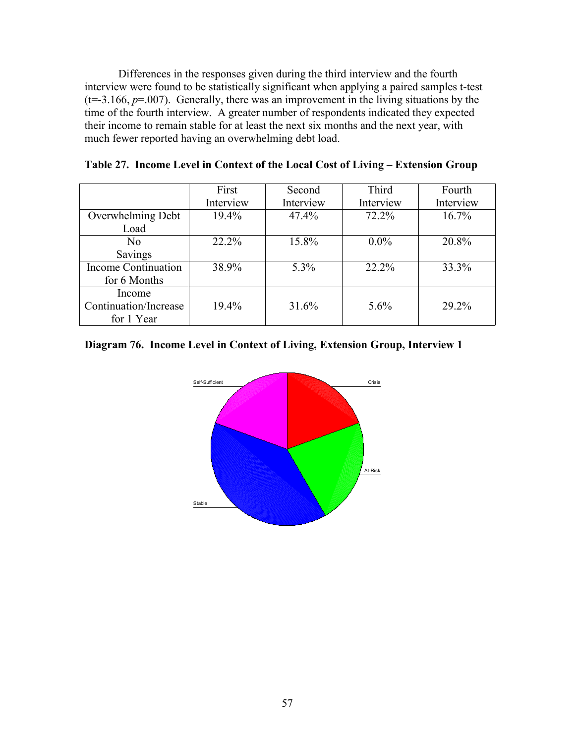Differences in the responses given during the third interview and the fourth interview were found to be statistically significant when applying a paired samples t-test  $(t=3.166, p=.007)$ . Generally, there was an improvement in the living situations by the time of the fourth interview. A greater number of respondents indicated they expected their income to remain stable for at least the next six months and the next year, with much fewer reported having an overwhelming debt load.

|                       | First     | Second    | Third     | Fourth    |
|-----------------------|-----------|-----------|-----------|-----------|
|                       | Interview | Interview | Interview | Interview |
| Overwhelming Debt     | $19.4\%$  | 47.4%     | 72.2%     | 16.7%     |
| Load                  |           |           |           |           |
| N <sub>0</sub>        | $22.2\%$  | 15.8%     | $0.0\%$   | 20.8%     |
| Savings               |           |           |           |           |
| Income Continuation   | 38.9%     | 5.3%      | 22.2%     | 33.3%     |
| for 6 Months          |           |           |           |           |
| Income                |           |           |           |           |
| Continuation/Increase | 19.4%     | 31.6%     | $5.6\%$   | 29.2%     |
| for 1 Year            |           |           |           |           |

|  |  |  |  |  |  |  |  | Table 27. Income Level in Context of the Local Cost of Living – Extension Group |  |
|--|--|--|--|--|--|--|--|---------------------------------------------------------------------------------|--|
|--|--|--|--|--|--|--|--|---------------------------------------------------------------------------------|--|

## **Diagram 76. Income Level in Context of Living, Extension Group, Interview 1**

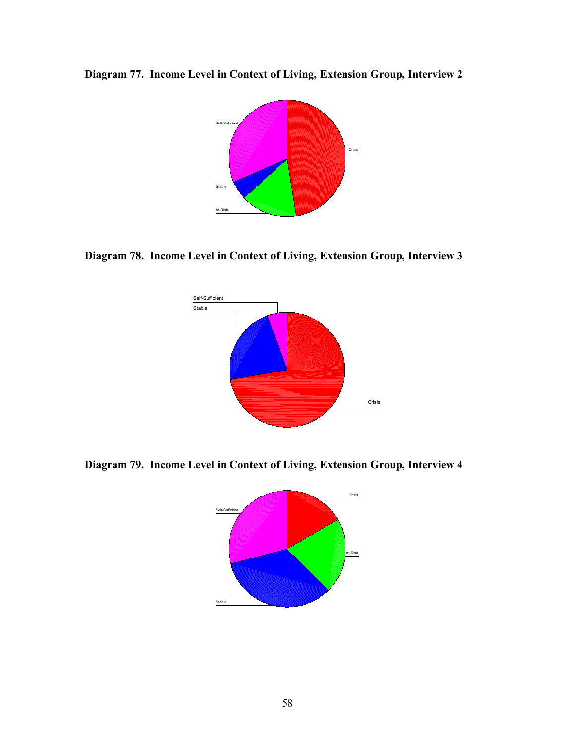**Diagram 77. Income Level in Context of Living, Extension Group, Interview 2**



**Diagram 78. Income Level in Context of Living, Extension Group, Interview 3**



**Diagram 79. Income Level in Context of Living, Extension Group, Interview 4**

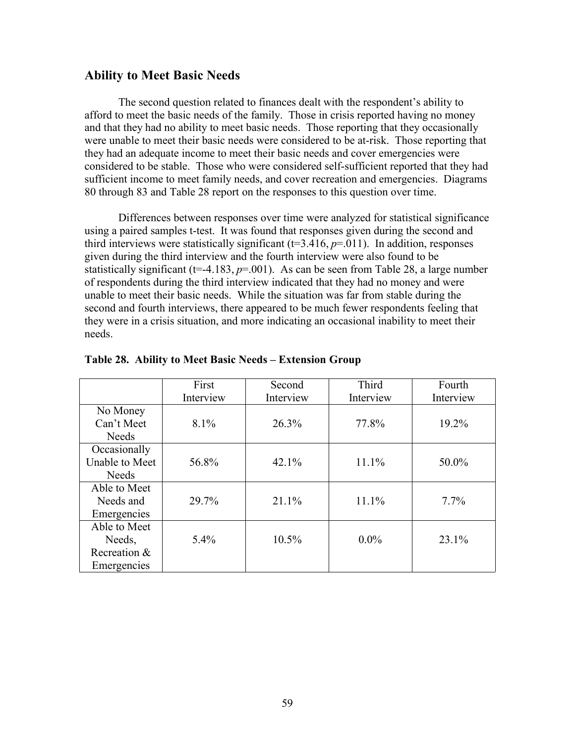#### **Ability to Meet Basic Needs**

The second question related to finances dealt with the respondent's ability to afford to meet the basic needs of the family. Those in crisis reported having no money and that they had no ability to meet basic needs. Those reporting that they occasionally were unable to meet their basic needs were considered to be at-risk. Those reporting that they had an adequate income to meet their basic needs and cover emergencies were considered to be stable. Those who were considered self-sufficient reported that they had sufficient income to meet family needs, and cover recreation and emergencies. Diagrams 80 through 83 and Table 28 report on the responses to this question over time.

Differences between responses over time were analyzed for statistical significance using a paired samples t-test. It was found that responses given during the second and third interviews were statistically significant  $(t=3.416, p=0.011)$ . In addition, responses given during the third interview and the fourth interview were also found to be statistically significant ( $t=4.183$ ,  $p=.001$ ). As can be seen from Table 28, a large number of respondents during the third interview indicated that they had no money and were unable to meet their basic needs. While the situation was far from stable during the second and fourth interviews, there appeared to be much fewer respondents feeling that they were in a crisis situation, and more indicating an occasional inability to meet their needs.

|                       | First     | Second    | Third     | Fourth    |
|-----------------------|-----------|-----------|-----------|-----------|
|                       | Interview | Interview | Interview | Interview |
| No Money              |           |           |           |           |
| Can't Meet            | $8.1\%$   | 26.3%     | 77.8%     | 19.2%     |
| Needs                 |           |           |           |           |
| Occasionally          |           |           |           |           |
| <b>Unable to Meet</b> | 56.8%     | 42.1%     | 11.1%     | 50.0%     |
| <b>Needs</b>          |           |           |           |           |
| Able to Meet          |           |           |           |           |
| Needs and             | 29.7%     | 21.1%     | 11.1%     | $7.7\%$   |
| Emergencies           |           |           |           |           |
| Able to Meet          |           |           |           |           |
| Needs,                | 5.4%      | 10.5%     | $0.0\%$   | 23.1%     |
| Recreation &          |           |           |           |           |
| Emergencies           |           |           |           |           |

**Table 28. Ability to Meet Basic Needs – Extension Group**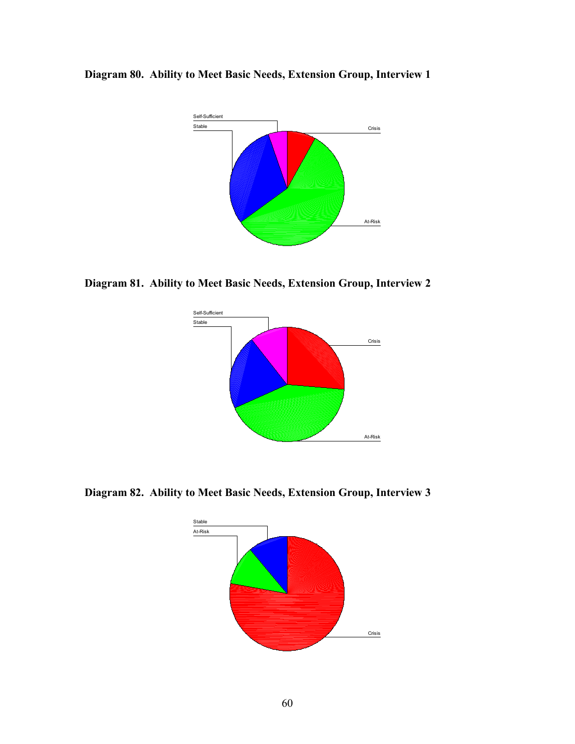**Diagram 80. Ability to Meet Basic Needs, Extension Group, Interview 1**



**Diagram 81. Ability to Meet Basic Needs, Extension Group, Interview 2**



**Diagram 82. Ability to Meet Basic Needs, Extension Group, Interview 3**

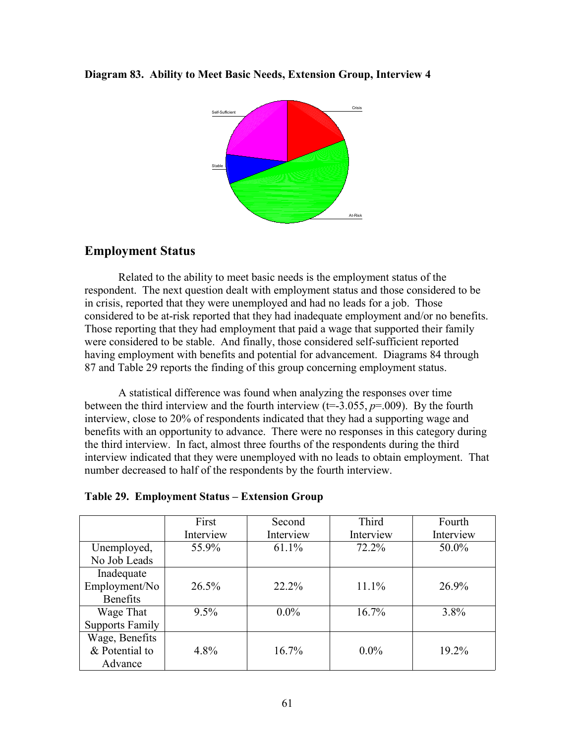#### **Diagram 83. Ability to Meet Basic Needs, Extension Group, Interview 4**



## **Employment Status**

Related to the ability to meet basic needs is the employment status of the respondent. The next question dealt with employment status and those considered to be in crisis, reported that they were unemployed and had no leads for a job. Those considered to be at-risk reported that they had inadequate employment and/or no benefits. Those reporting that they had employment that paid a wage that supported their family were considered to be stable. And finally, those considered self-sufficient reported having employment with benefits and potential for advancement. Diagrams 84 through 87 and Table 29 reports the finding of this group concerning employment status.

A statistical difference was found when analyzing the responses over time between the third interview and the fourth interview  $(t=3.055, p=.009)$ . By the fourth interview, close to 20% of respondents indicated that they had a supporting wage and benefits with an opportunity to advance. There were no responses in this category during the third interview. In fact, almost three fourths of the respondents during the third interview indicated that they were unemployed with no leads to obtain employment. That number decreased to half of the respondents by the fourth interview.

|                        | First     | Second    | Third     | Fourth    |
|------------------------|-----------|-----------|-----------|-----------|
|                        | Interview | Interview | Interview | Interview |
| Unemployed,            | 55.9%     | 61.1%     | 72.2%     | 50.0%     |
| No Job Leads           |           |           |           |           |
| Inadequate             |           |           |           |           |
| Employment/No          | $26.5\%$  | $22.2\%$  | 11.1%     | 26.9%     |
| <b>Benefits</b>        |           |           |           |           |
| Wage That              | 9.5%      | $0.0\%$   | 16.7%     | $3.8\%$   |
| <b>Supports Family</b> |           |           |           |           |
| Wage, Benefits         |           |           |           |           |
| & Potential to         | 4.8%      | $16.7\%$  | $0.0\%$   | $19.2\%$  |
| Advance                |           |           |           |           |

#### **Table 29. Employment Status – Extension Group**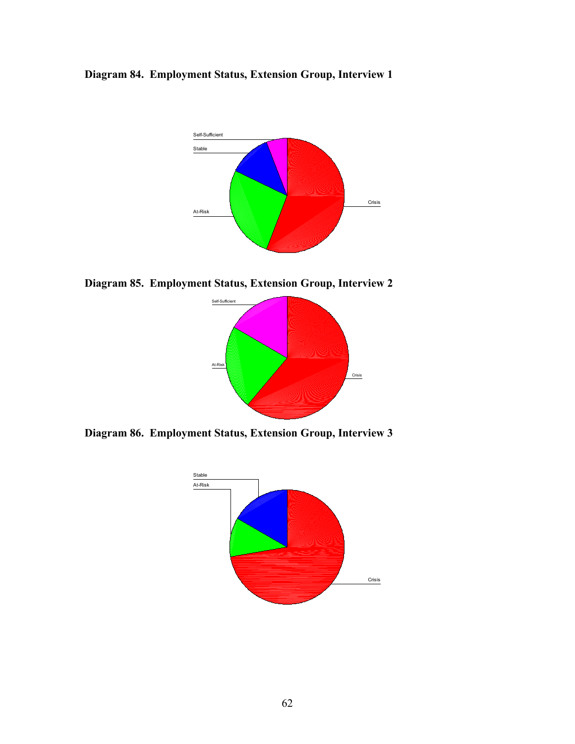**Diagram 84. Employment Status, Extension Group, Interview 1**



**Diagram 85. Employment Status, Extension Group, Interview 2**



**Diagram 86. Employment Status, Extension Group, Interview 3**

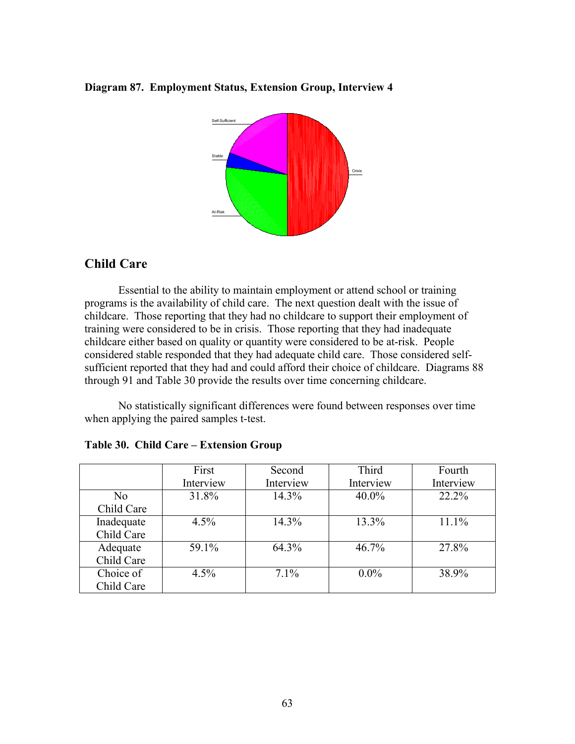#### **Diagram 87. Employment Status, Extension Group, Interview 4**



# **Child Care**

Essential to the ability to maintain employment or attend school or training programs is the availability of child care. The next question dealt with the issue of childcare. Those reporting that they had no childcare to support their employment of training were considered to be in crisis. Those reporting that they had inadequate childcare either based on quality or quantity were considered to be at-risk. People considered stable responded that they had adequate child care. Those considered selfsufficient reported that they had and could afford their choice of childcare. Diagrams 88 through 91 and Table 30 provide the results over time concerning childcare.

No statistically significant differences were found between responses over time when applying the paired samples t-test.

|                | First     | Second    | Third     | Fourth    |
|----------------|-----------|-----------|-----------|-----------|
|                | Interview | Interview | Interview | Interview |
| N <sub>0</sub> | 31.8%     | 14.3%     | $40.0\%$  | 22.2%     |
| Child Care     |           |           |           |           |
| Inadequate     | $4.5\%$   | 14.3%     | 13.3%     | 11.1%     |
| Child Care     |           |           |           |           |
| Adequate       | 59.1%     | 64.3%     | 46.7%     | 27.8%     |
| Child Care     |           |           |           |           |
| Choice of      | $4.5\%$   | $7.1\%$   | $0.0\%$   | 38.9%     |
| Child Care     |           |           |           |           |

#### **Table 30. Child Care – Extension Group**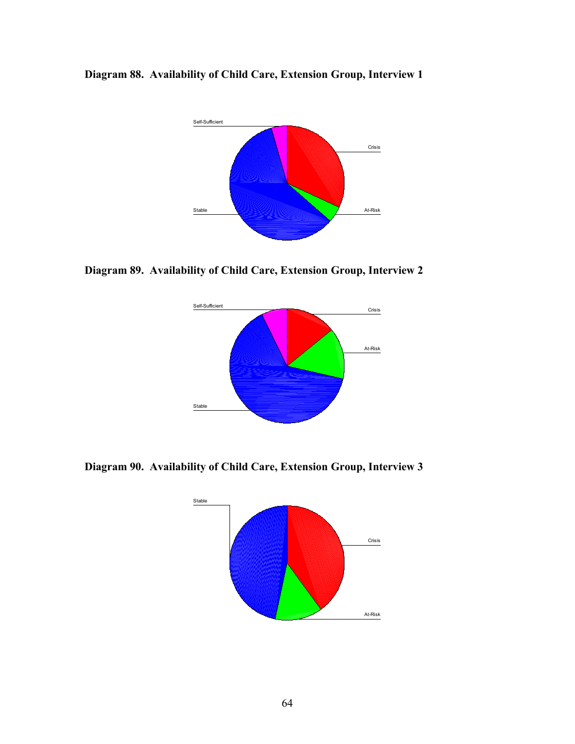



**Diagram 89. Availability of Child Care, Extension Group, Interview 2**



**Diagram 90. Availability of Child Care, Extension Group, Interview 3**

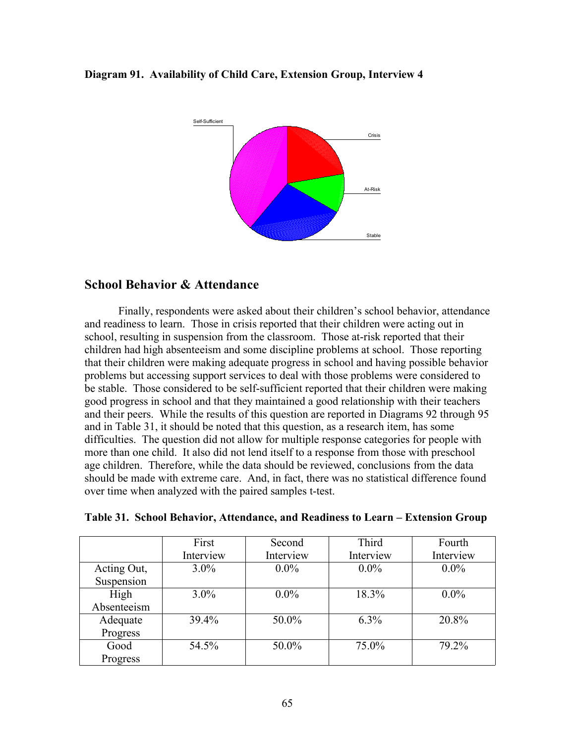#### **Diagram 91. Availability of Child Care, Extension Group, Interview 4**



# **School Behavior & Attendance**

Finally, respondents were asked about their children's school behavior, attendance and readiness to learn. Those in crisis reported that their children were acting out in school, resulting in suspension from the classroom. Those at-risk reported that their children had high absenteeism and some discipline problems at school. Those reporting that their children were making adequate progress in school and having possible behavior problems but accessing support services to deal with those problems were considered to be stable. Those considered to be self-sufficient reported that their children were making good progress in school and that they maintained a good relationship with their teachers and their peers. While the results of this question are reported in Diagrams 92 through 95 and in Table 31, it should be noted that this question, as a research item, has some difficulties. The question did not allow for multiple response categories for people with more than one child. It also did not lend itself to a response from those with preschool age children. Therefore, while the data should be reviewed, conclusions from the data should be made with extreme care. And, in fact, there was no statistical difference found over time when analyzed with the paired samples t-test.

|             | First     | Second    | Third     | Fourth    |
|-------------|-----------|-----------|-----------|-----------|
|             | Interview | Interview | Interview | Interview |
| Acting Out, | $3.0\%$   | $0.0\%$   | $0.0\%$   | $0.0\%$   |
| Suspension  |           |           |           |           |
| High        | $3.0\%$   | $0.0\%$   | 18.3%     | $0.0\%$   |
| Absenteeism |           |           |           |           |
| Adequate    | 39.4%     | 50.0%     | $6.3\%$   | 20.8%     |
| Progress    |           |           |           |           |
| Good        | 54.5%     | 50.0%     | 75.0%     | 79.2%     |
| Progress    |           |           |           |           |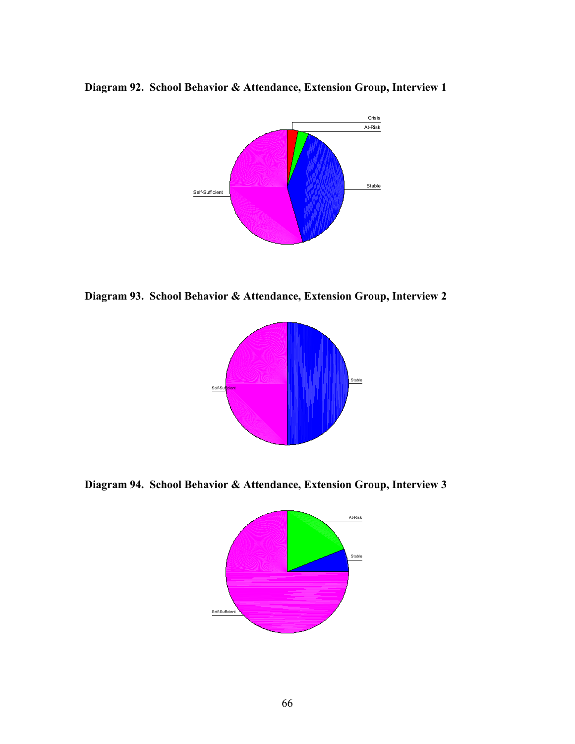**Diagram 92. School Behavior & Attendance, Extension Group, Interview 1**



**Diagram 93. School Behavior & Attendance, Extension Group, Interview 2**



**Diagram 94. School Behavior & Attendance, Extension Group, Interview 3**

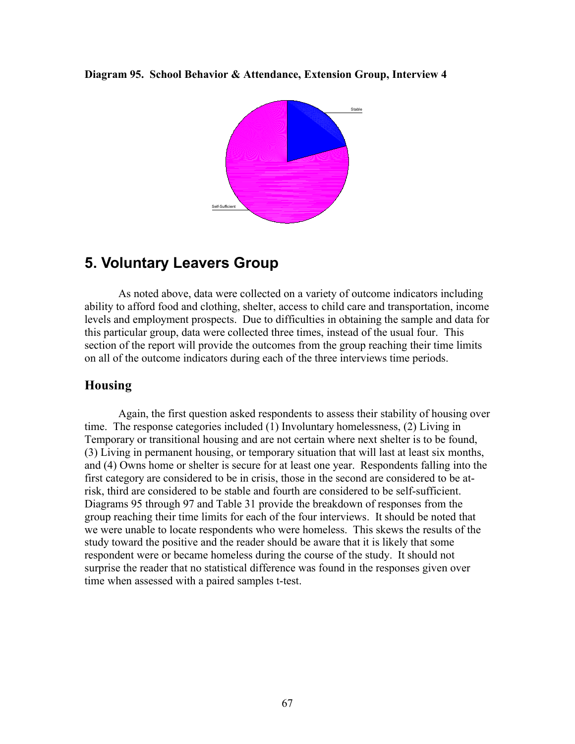#### **Diagram 95. School Behavior & Attendance, Extension Group, Interview 4**



# **5. Voluntary Leavers Group**

As noted above, data were collected on a variety of outcome indicators including ability to afford food and clothing, shelter, access to child care and transportation, income levels and employment prospects. Due to difficulties in obtaining the sample and data for this particular group, data were collected three times, instead of the usual four. This section of the report will provide the outcomes from the group reaching their time limits on all of the outcome indicators during each of the three interviews time periods.

## **Housing**

Again, the first question asked respondents to assess their stability of housing over time. The response categories included (1) Involuntary homelessness, (2) Living in Temporary or transitional housing and are not certain where next shelter is to be found, (3) Living in permanent housing, or temporary situation that will last at least six months, and (4) Owns home or shelter is secure for at least one year. Respondents falling into the first category are considered to be in crisis, those in the second are considered to be atrisk, third are considered to be stable and fourth are considered to be self-sufficient. Diagrams 95 through 97 and Table 31 provide the breakdown of responses from the group reaching their time limits for each of the four interviews. It should be noted that we were unable to locate respondents who were homeless. This skews the results of the study toward the positive and the reader should be aware that it is likely that some respondent were or became homeless during the course of the study. It should not surprise the reader that no statistical difference was found in the responses given over time when assessed with a paired samples t-test.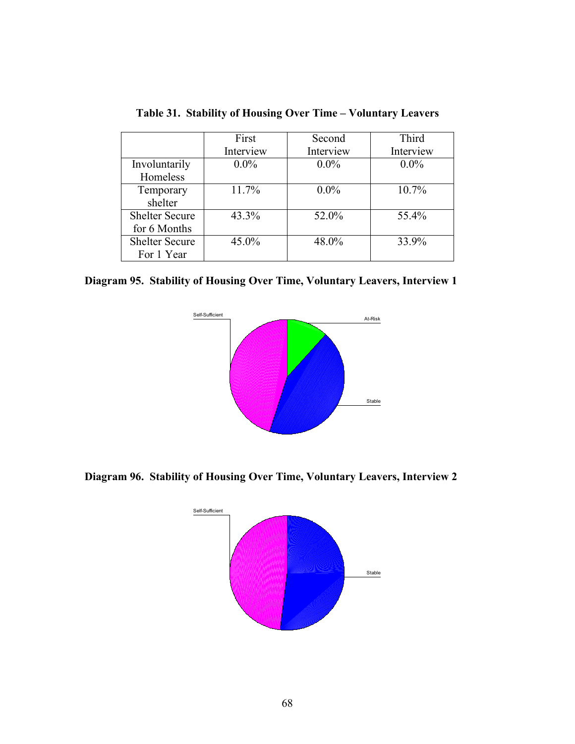|                       | First     | Second    | Third     |
|-----------------------|-----------|-----------|-----------|
|                       | Interview | Interview | Interview |
| Involuntarily         | $0.0\%$   | $0.0\%$   | $0.0\%$   |
| Homeless              |           |           |           |
| Temporary             | 11.7%     | $0.0\%$   | $10.7\%$  |
| shelter               |           |           |           |
| <b>Shelter Secure</b> | 43.3%     | 52.0%     | 55.4%     |
| for 6 Months          |           |           |           |
| <b>Shelter Secure</b> | 45.0%     | 48.0%     | 33.9%     |
| For 1 Year            |           |           |           |

**Table 31. Stability of Housing Over Time – Voluntary Leavers**

**Diagram 95. Stability of Housing Over Time, Voluntary Leavers, Interview 1**



**Diagram 96. Stability of Housing Over Time, Voluntary Leavers, Interview 2**

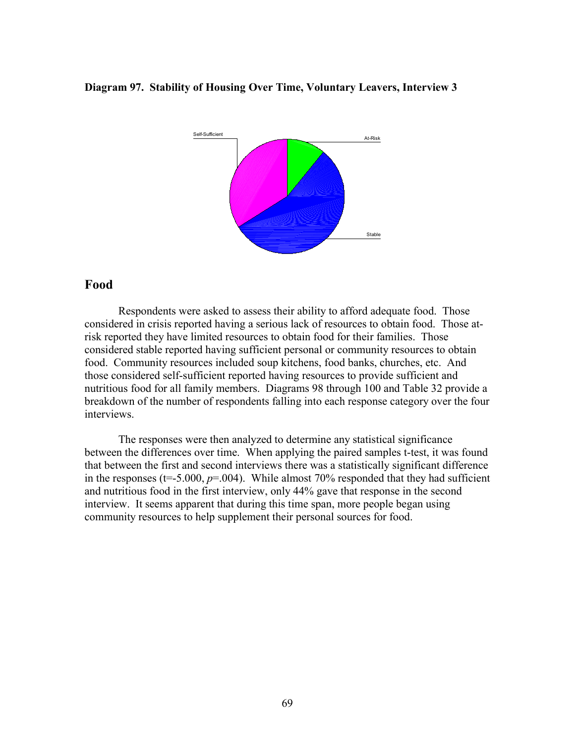#### **Diagram 97. Stability of Housing Over Time, Voluntary Leavers, Interview 3**



# **Food**

Respondents were asked to assess their ability to afford adequate food. Those considered in crisis reported having a serious lack of resources to obtain food. Those atrisk reported they have limited resources to obtain food for their families. Those considered stable reported having sufficient personal or community resources to obtain food. Community resources included soup kitchens, food banks, churches, etc. And those considered self-sufficient reported having resources to provide sufficient and nutritious food for all family members. Diagrams 98 through 100 and Table 32 provide a breakdown of the number of respondents falling into each response category over the four interviews.

The responses were then analyzed to determine any statistical significance between the differences over time. When applying the paired samples t-test, it was found that between the first and second interviews there was a statistically significant difference in the responses  $(t=5.000, p=.004)$ . While almost 70% responded that they had sufficient and nutritious food in the first interview, only 44% gave that response in the second interview. It seems apparent that during this time span, more people began using community resources to help supplement their personal sources for food.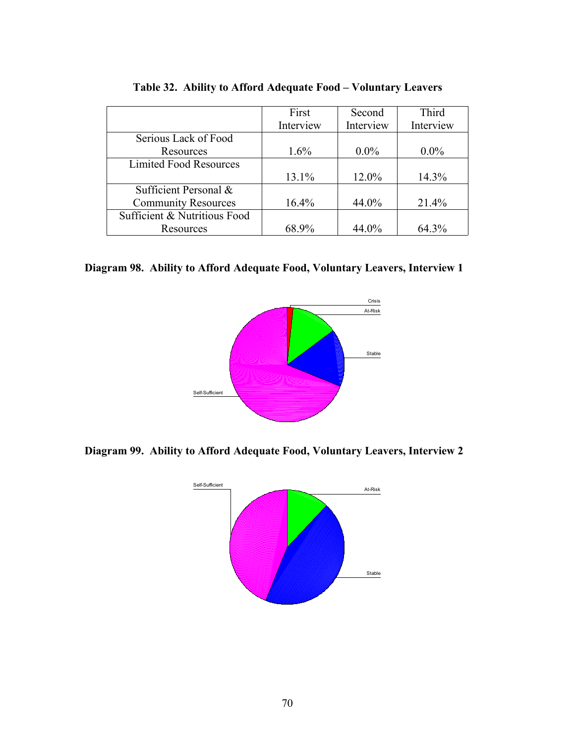|                               | First     | Second    | Third     |
|-------------------------------|-----------|-----------|-----------|
|                               | Interview | Interview | Interview |
| Serious Lack of Food          |           |           |           |
| Resources                     | $1.6\%$   | $0.0\%$   | $0.0\%$   |
| <b>Limited Food Resources</b> |           |           |           |
|                               | 13.1%     | 12.0%     | 14.3%     |
| Sufficient Personal &         |           |           |           |
| <b>Community Resources</b>    | 16.4%     | 44.0%     | 21.4%     |
| Sufficient & Nutritious Food  |           |           |           |
| Resources                     | 68.9%     | 44.0%     | 64.3%     |

**Table 32. Ability to Afford Adequate Food – Voluntary Leavers**

**Diagram 98. Ability to Afford Adequate Food, Voluntary Leavers, Interview 1**



**Diagram 99. Ability to Afford Adequate Food, Voluntary Leavers, Interview 2**

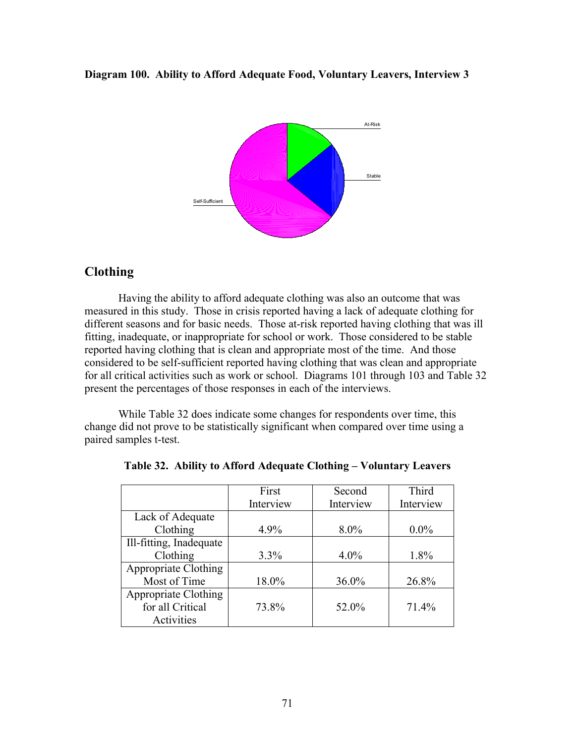**Diagram 100. Ability to Afford Adequate Food, Voluntary Leavers, Interview 3**



# **Clothing**

Having the ability to afford adequate clothing was also an outcome that was measured in this study. Those in crisis reported having a lack of adequate clothing for different seasons and for basic needs. Those at-risk reported having clothing that was ill fitting, inadequate, or inappropriate for school or work. Those considered to be stable reported having clothing that is clean and appropriate most of the time. And those considered to be self-sufficient reported having clothing that was clean and appropriate for all critical activities such as work or school. Diagrams 101 through 103 and Table 32 present the percentages of those responses in each of the interviews.

While Table 32 does indicate some changes for respondents over time, this change did not prove to be statistically significant when compared over time using a paired samples t-test.

|                             | First     | Second    | Third     |
|-----------------------------|-----------|-----------|-----------|
|                             | Interview | Interview | Interview |
| Lack of Adequate            |           |           |           |
| Clothing                    | 4.9%      | $8.0\%$   | $0.0\%$   |
| Ill-fitting, Inadequate     |           |           |           |
| Clothing                    | $3.3\%$   | $4.0\%$   | 1.8%      |
| <b>Appropriate Clothing</b> |           |           |           |
| Most of Time                | 18.0%     | 36.0%     | 26.8%     |
| Appropriate Clothing        |           |           |           |
| for all Critical            | 73.8%     | 52.0%     | 71.4%     |
| Activities                  |           |           |           |

|  |  |  | Table 32. Ability to Afford Adequate Clothing – Voluntary Leavers |  |
|--|--|--|-------------------------------------------------------------------|--|
|  |  |  |                                                                   |  |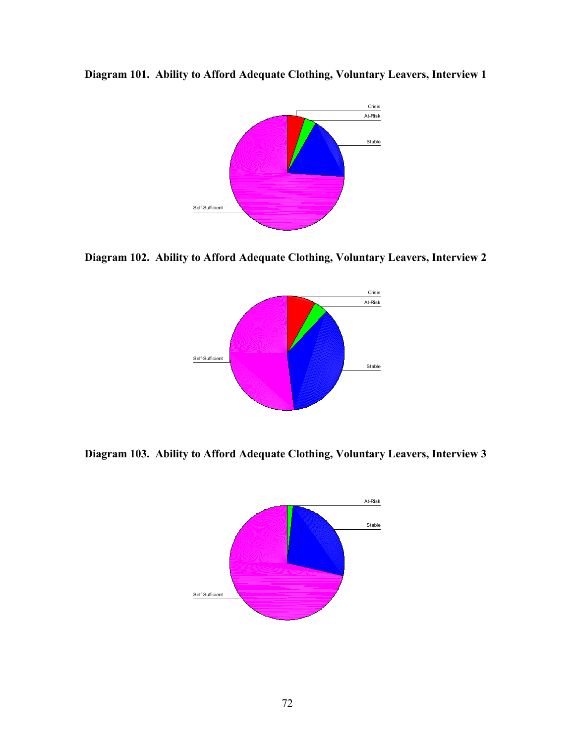

**Diagram 101. Ability to Afford Adequate Clothing, Voluntary Leavers, Interview 1**

**Diagram 102. Ability to Afford Adequate Clothing, Voluntary Leavers, Interview 2**



**Diagram 103. Ability to Afford Adequate Clothing, Voluntary Leavers, Interview 3**

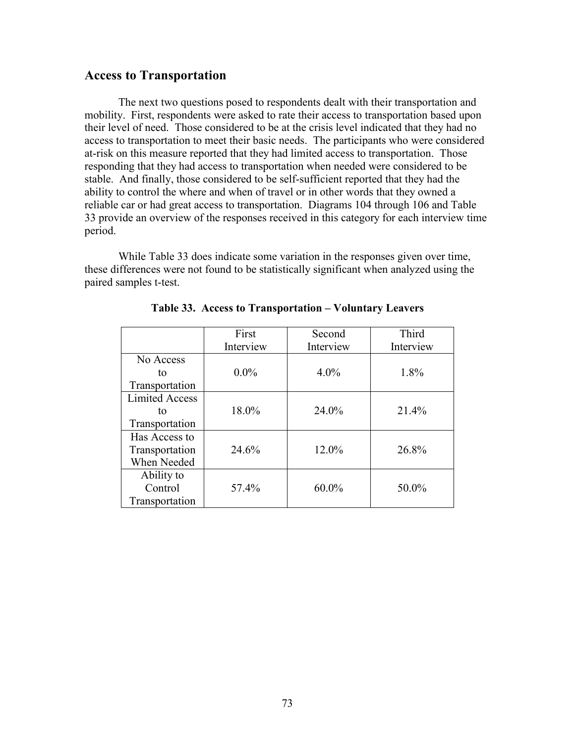### **Access to Transportation**

The next two questions posed to respondents dealt with their transportation and mobility. First, respondents were asked to rate their access to transportation based upon their level of need. Those considered to be at the crisis level indicated that they had no access to transportation to meet their basic needs. The participants who were considered at-risk on this measure reported that they had limited access to transportation. Those responding that they had access to transportation when needed were considered to be stable. And finally, those considered to be self-sufficient reported that they had the ability to control the where and when of travel or in other words that they owned a reliable car or had great access to transportation. Diagrams 104 through 106 and Table 33 provide an overview of the responses received in this category for each interview time period.

While Table 33 does indicate some variation in the responses given over time, these differences were not found to be statistically significant when analyzed using the paired samples t-test.

|                       | First     | Second    | Third     |
|-----------------------|-----------|-----------|-----------|
|                       | Interview | Interview | Interview |
| No Access             |           |           |           |
| tο                    | $0.0\%$   | $4.0\%$   | 1.8%      |
| Transportation        |           |           |           |
| <b>Limited Access</b> |           |           |           |
| tο                    | 18.0%     | 24.0%     | 21.4%     |
| Transportation        |           |           |           |
| Has Access to         |           |           |           |
| Transportation        | 24.6%     | 12.0%     | 26.8%     |
| When Needed           |           |           |           |
| Ability to            |           |           |           |
| Control               | 57.4%     | $60.0\%$  | 50.0%     |
| Transportation        |           |           |           |

**Table 33. Access to Transportation – Voluntary Leavers**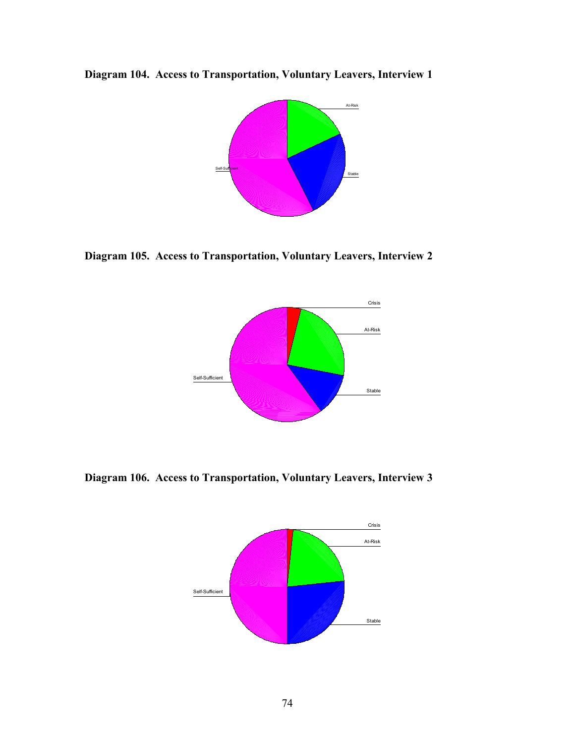**Diagram 104. Access to Transportation, Voluntary Leavers, Interview 1**



**Diagram 105. Access to Transportation, Voluntary Leavers, Interview 2**



**Diagram 106. Access to Transportation, Voluntary Leavers, Interview 3**

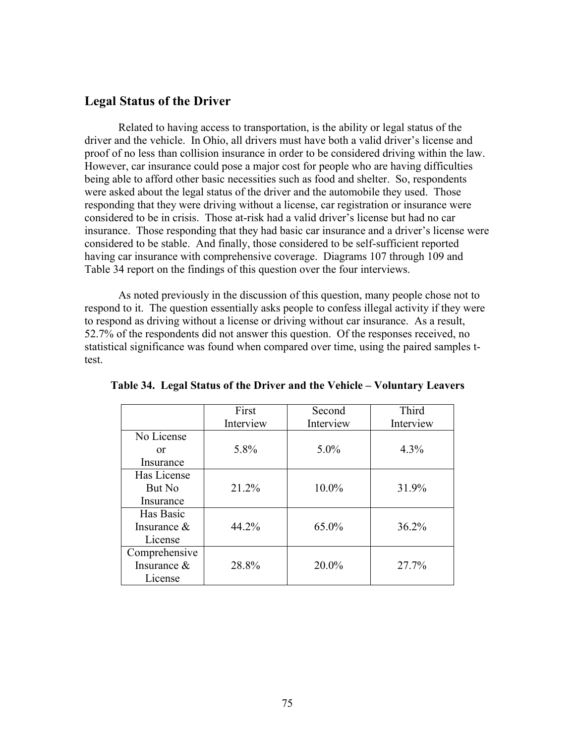### **Legal Status of the Driver**

Related to having access to transportation, is the ability or legal status of the driver and the vehicle. In Ohio, all drivers must have both a valid driver's license and proof of no less than collision insurance in order to be considered driving within the law. However, car insurance could pose a major cost for people who are having difficulties being able to afford other basic necessities such as food and shelter. So, respondents were asked about the legal status of the driver and the automobile they used. Those responding that they were driving without a license, car registration or insurance were considered to be in crisis. Those at-risk had a valid driver's license but had no car insurance. Those responding that they had basic car insurance and a driver's license were considered to be stable. And finally, those considered to be self-sufficient reported having car insurance with comprehensive coverage. Diagrams 107 through 109 and Table 34 report on the findings of this question over the four interviews.

As noted previously in the discussion of this question, many people chose not to respond to it. The question essentially asks people to confess illegal activity if they were to respond as driving without a license or driving without car insurance. As a result, 52.7% of the respondents did not answer this question. Of the responses received, no statistical significance was found when compared over time, using the paired samples ttest.

|                | First     | Second    | Third     |
|----------------|-----------|-----------|-----------|
|                | Interview | Interview | Interview |
| No License     |           |           |           |
| 0r             | 5.8%      | $5.0\%$   | 4.3%      |
| Insurance      |           |           |           |
| Has License    |           |           |           |
| But No         | 21.2%     | 10.0%     | 31.9%     |
| Insurance      |           |           |           |
| Has Basic      |           |           |           |
| Insurance $\&$ | 44.2%     | 65.0%     | 36.2%     |
| License        |           |           |           |
| Comprehensive  |           |           |           |
| Insurance $\&$ | 28.8%     | 20.0%     | 27.7%     |
| License        |           |           |           |

**Table 34. Legal Status of the Driver and the Vehicle – Voluntary Leavers**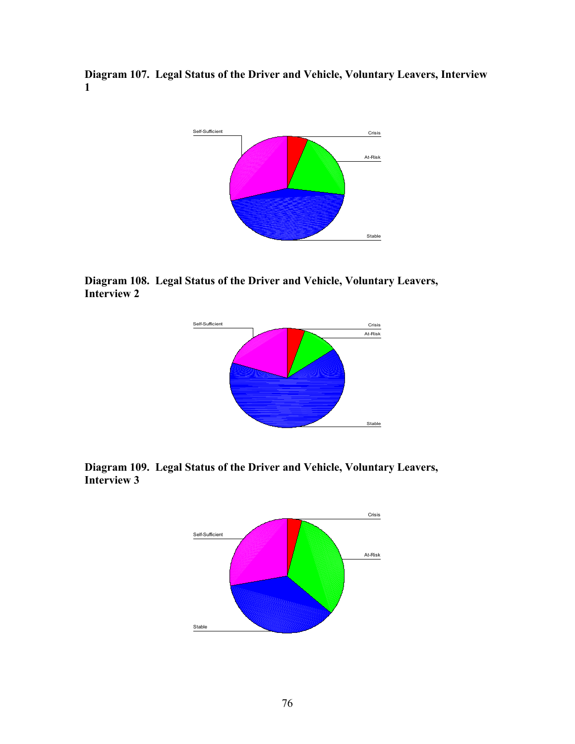**Diagram 107. Legal Status of the Driver and Vehicle, Voluntary Leavers, Interview 1**



**Diagram 108. Legal Status of the Driver and Vehicle, Voluntary Leavers, Interview 2**



**Diagram 109. Legal Status of the Driver and Vehicle, Voluntary Leavers, Interview 3**

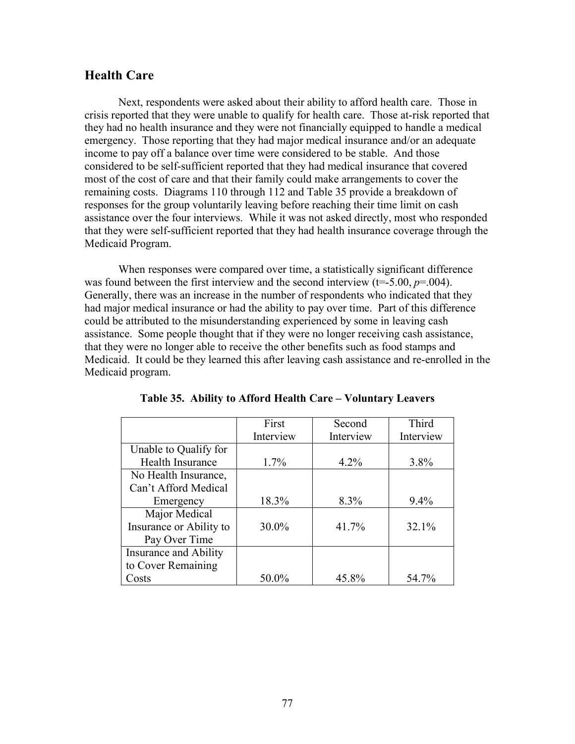## **Health Care**

Next, respondents were asked about their ability to afford health care. Those in crisis reported that they were unable to qualify for health care. Those at-risk reported that they had no health insurance and they were not financially equipped to handle a medical emergency. Those reporting that they had major medical insurance and/or an adequate income to pay off a balance over time were considered to be stable. And those considered to be self-sufficient reported that they had medical insurance that covered most of the cost of care and that their family could make arrangements to cover the remaining costs. Diagrams 110 through 112 and Table 35 provide a breakdown of responses for the group voluntarily leaving before reaching their time limit on cash assistance over the four interviews. While it was not asked directly, most who responded that they were self-sufficient reported that they had health insurance coverage through the Medicaid Program.

When responses were compared over time, a statistically significant difference was found between the first interview and the second interview  $(t=5.00, p=.004)$ . Generally, there was an increase in the number of respondents who indicated that they had major medical insurance or had the ability to pay over time. Part of this difference could be attributed to the misunderstanding experienced by some in leaving cash assistance. Some people thought that if they were no longer receiving cash assistance, that they were no longer able to receive the other benefits such as food stamps and Medicaid. It could be they learned this after leaving cash assistance and re-enrolled in the Medicaid program.

|                         | First     | Second    | Third     |
|-------------------------|-----------|-----------|-----------|
|                         | Interview | Interview | Interview |
| Unable to Qualify for   |           |           |           |
| Health Insurance        | 1.7%      | $4.2\%$   | $3.8\%$   |
| No Health Insurance,    |           |           |           |
| Can't Afford Medical    |           |           |           |
| Emergency               | 18.3%     | 8.3%      | $9.4\%$   |
| Major Medical           |           |           |           |
| Insurance or Ability to | 30.0%     | 41.7%     | 32.1%     |
| Pay Over Time           |           |           |           |
| Insurance and Ability   |           |           |           |
| to Cover Remaining      |           |           |           |
| Costs                   | 50.0%     | 45.8%     | 54.7%     |

**Table 35. Ability to Afford Health Care – Voluntary Leavers**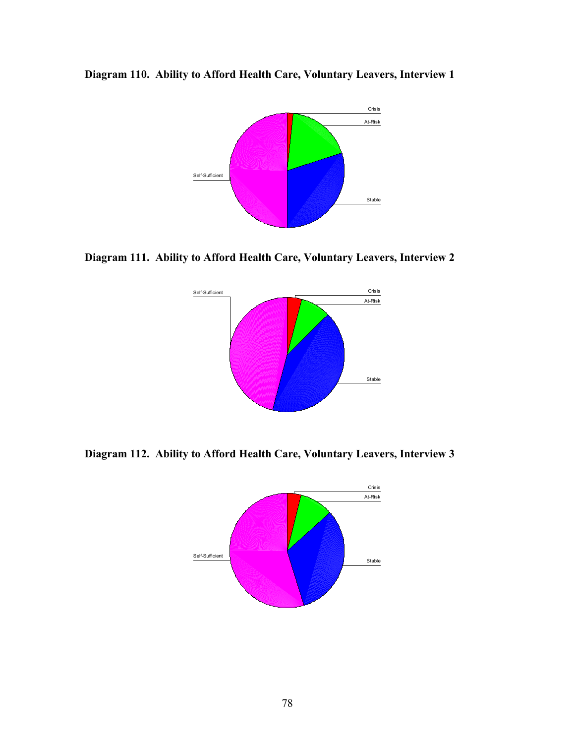



**Diagram 111. Ability to Afford Health Care, Voluntary Leavers, Interview 2**



**Diagram 112. Ability to Afford Health Care, Voluntary Leavers, Interview 3**

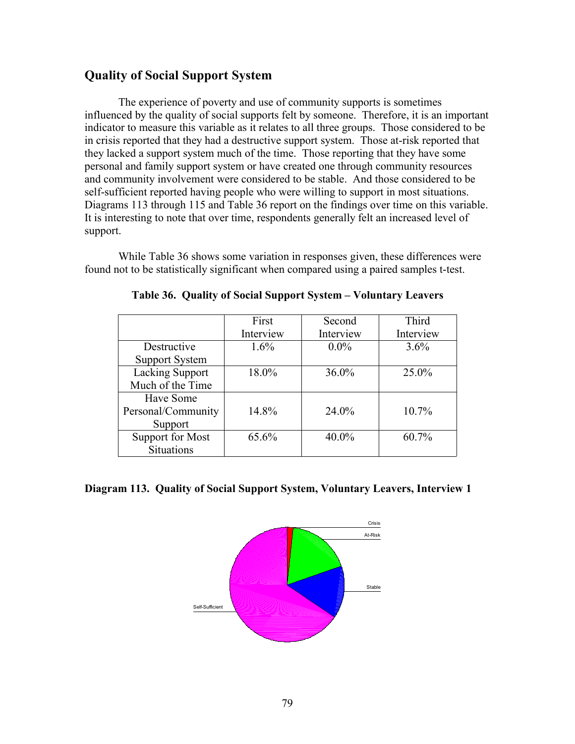# **Quality of Social Support System**

The experience of poverty and use of community supports is sometimes influenced by the quality of social supports felt by someone. Therefore, it is an important indicator to measure this variable as it relates to all three groups. Those considered to be in crisis reported that they had a destructive support system. Those at-risk reported that they lacked a support system much of the time. Those reporting that they have some personal and family support system or have created one through community resources and community involvement were considered to be stable. And those considered to be self-sufficient reported having people who were willing to support in most situations. Diagrams 113 through 115 and Table 36 report on the findings over time on this variable. It is interesting to note that over time, respondents generally felt an increased level of support.

While Table 36 shows some variation in responses given, these differences were found not to be statistically significant when compared using a paired samples t-test.

|                         | First     | Second    | Third     |
|-------------------------|-----------|-----------|-----------|
|                         | Interview | Interview | Interview |
| Destructive             | $1.6\%$   | $0.0\%$   | $3.6\%$   |
| <b>Support System</b>   |           |           |           |
| <b>Lacking Support</b>  | 18.0%     | $36.0\%$  | 25.0%     |
| Much of the Time        |           |           |           |
| Have Some               |           |           |           |
| Personal/Community      | 14.8%     | 24.0%     | $10.7\%$  |
| Support                 |           |           |           |
| <b>Support for Most</b> | 65.6%     | 40.0%     | 60.7%     |
| <b>Situations</b>       |           |           |           |

**Table 36. Quality of Social Support System – Voluntary Leavers**

#### **Diagram 113. Quality of Social Support System, Voluntary Leavers, Interview 1**

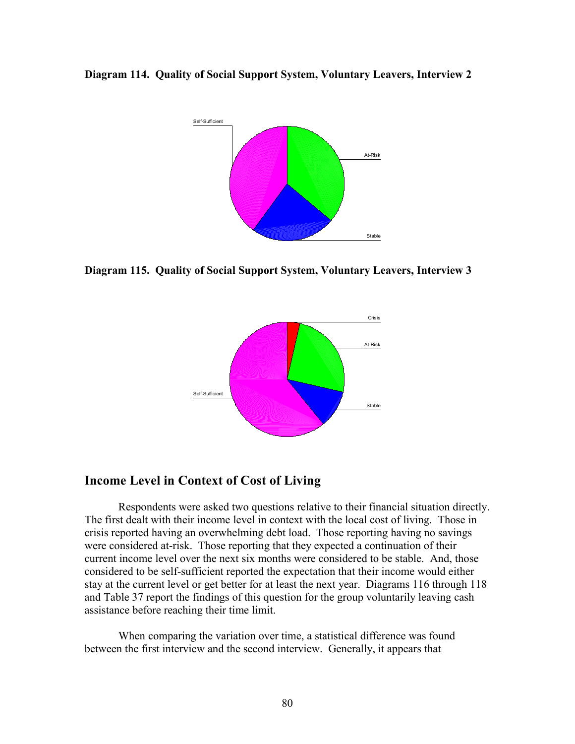**Diagram 114. Quality of Social Support System, Voluntary Leavers, Interview 2**



**Diagram 115. Quality of Social Support System, Voluntary Leavers, Interview 3**



## **Income Level in Context of Cost of Living**

Respondents were asked two questions relative to their financial situation directly. The first dealt with their income level in context with the local cost of living. Those in crisis reported having an overwhelming debt load. Those reporting having no savings were considered at-risk. Those reporting that they expected a continuation of their current income level over the next six months were considered to be stable. And, those considered to be self-sufficient reported the expectation that their income would either stay at the current level or get better for at least the next year. Diagrams 116 through 118 and Table 37 report the findings of this question for the group voluntarily leaving cash assistance before reaching their time limit.

When comparing the variation over time, a statistical difference was found between the first interview and the second interview. Generally, it appears that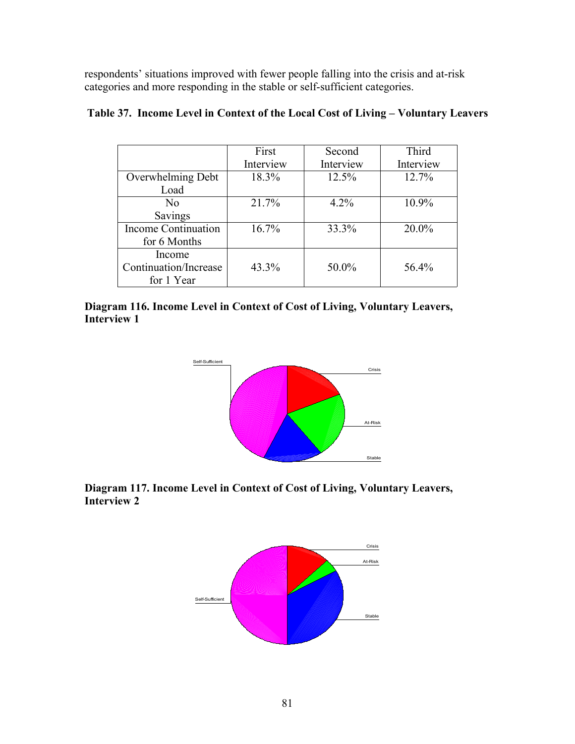respondents' situations improved with fewer people falling into the crisis and at-risk categories and more responding in the stable or self-sufficient categories.

|                            | First     | Second    | Third     |
|----------------------------|-----------|-----------|-----------|
|                            | Interview | Interview | Interview |
| Overwhelming Debt          | 18.3%     | 12.5%     | 12.7%     |
| Load                       |           |           |           |
| N <sub>0</sub>             | 21.7%     | 4.2%      | 10.9%     |
| Savings                    |           |           |           |
| <b>Income Continuation</b> | 16.7%     | 33.3%     | $20.0\%$  |
| for 6 Months               |           |           |           |
| Income                     |           |           |           |
| Continuation/Increase      | 43.3%     | 50.0%     | 56.4%     |
| for 1 Year                 |           |           |           |

## **Table 37. Income Level in Context of the Local Cost of Living – Voluntary Leavers**

**Diagram 116. Income Level in Context of Cost of Living, Voluntary Leavers, Interview 1**



# **Diagram 117. Income Level in Context of Cost of Living, Voluntary Leavers, Interview 2**

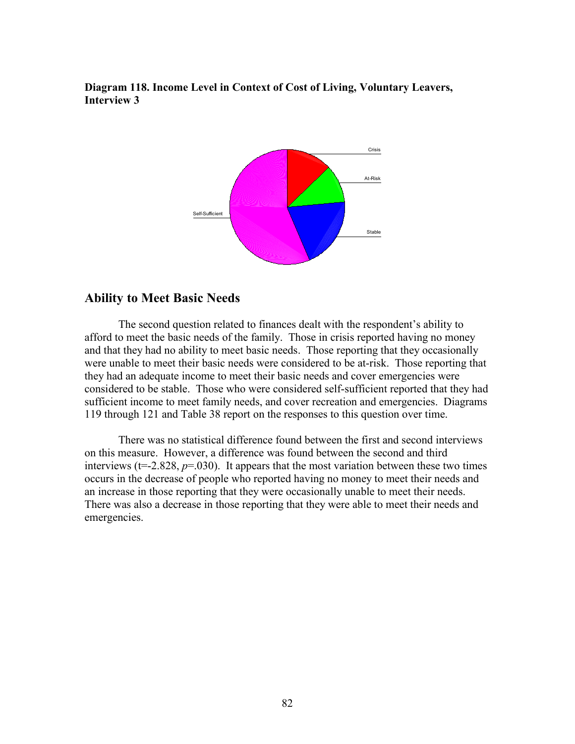**Diagram 118. Income Level in Context of Cost of Living, Voluntary Leavers, Interview 3**



### **Ability to Meet Basic Needs**

The second question related to finances dealt with the respondent's ability to afford to meet the basic needs of the family. Those in crisis reported having no money and that they had no ability to meet basic needs. Those reporting that they occasionally were unable to meet their basic needs were considered to be at-risk. Those reporting that they had an adequate income to meet their basic needs and cover emergencies were considered to be stable. Those who were considered self-sufficient reported that they had sufficient income to meet family needs, and cover recreation and emergencies. Diagrams 119 through 121 and Table 38 report on the responses to this question over time.

There was no statistical difference found between the first and second interviews on this measure. However, a difference was found between the second and third interviews ( $t=2.828$ ,  $p=.030$ ). It appears that the most variation between these two times occurs in the decrease of people who reported having no money to meet their needs and an increase in those reporting that they were occasionally unable to meet their needs. There was also a decrease in those reporting that they were able to meet their needs and emergencies.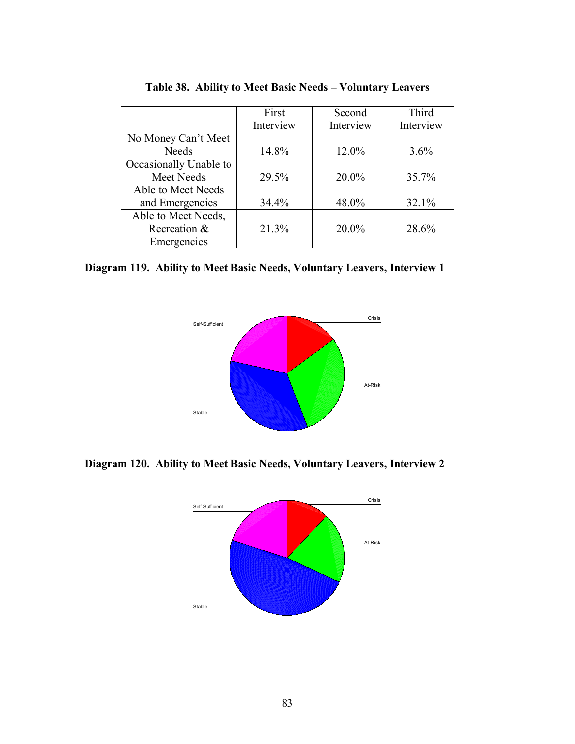|                        | First     | Second    | Third     |
|------------------------|-----------|-----------|-----------|
|                        | Interview | Interview | Interview |
| No Money Can't Meet    |           |           |           |
| <b>Needs</b>           | 14.8%     | 12.0%     | $3.6\%$   |
| Occasionally Unable to |           |           |           |
| Meet Needs             | 29.5%     | 20.0%     | 35.7%     |
| Able to Meet Needs     |           |           |           |
| and Emergencies        | 34.4%     | 48.0%     | 32.1%     |
| Able to Meet Needs,    |           |           |           |
| Recreation &           | 21.3%     | 20.0%     | 28.6%     |
| Emergencies            |           |           |           |

**Table 38. Ability to Meet Basic Needs – Voluntary Leavers**

**Diagram 119. Ability to Meet Basic Needs, Voluntary Leavers, Interview 1**



**Diagram 120. Ability to Meet Basic Needs, Voluntary Leavers, Interview 2**

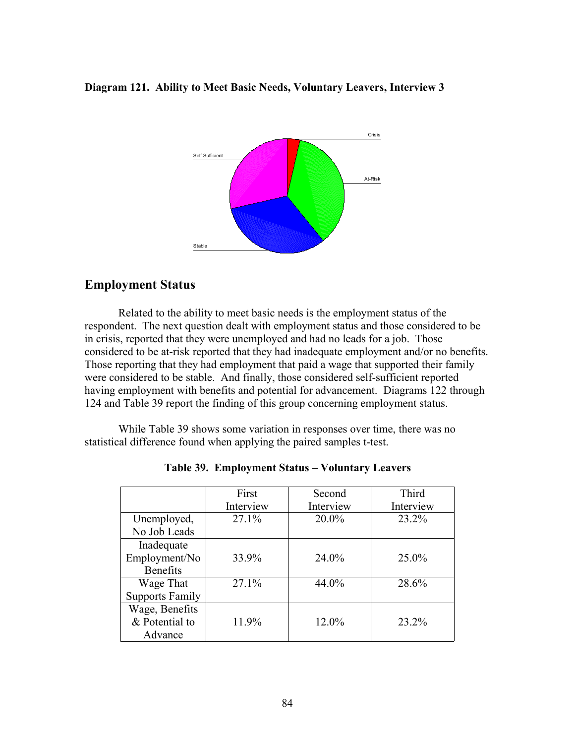#### **Diagram 121. Ability to Meet Basic Needs, Voluntary Leavers, Interview 3**



# **Employment Status**

Related to the ability to meet basic needs is the employment status of the respondent. The next question dealt with employment status and those considered to be in crisis, reported that they were unemployed and had no leads for a job. Those considered to be at-risk reported that they had inadequate employment and/or no benefits. Those reporting that they had employment that paid a wage that supported their family were considered to be stable. And finally, those considered self-sufficient reported having employment with benefits and potential for advancement. Diagrams 122 through 124 and Table 39 report the finding of this group concerning employment status.

While Table 39 shows some variation in responses over time, there was no statistical difference found when applying the paired samples t-test.

|                        | First     | Second    | Third     |
|------------------------|-----------|-----------|-----------|
|                        | Interview | Interview | Interview |
| Unemployed,            | 27.1%     | $20.0\%$  | 23.2%     |
| No Job Leads           |           |           |           |
| Inadequate             |           |           |           |
| Employment/No          | 33.9%     | 24.0%     | 25.0%     |
| <b>Benefits</b>        |           |           |           |
| Wage That              | 27.1%     | 44.0%     | 28.6%     |
| <b>Supports Family</b> |           |           |           |
| Wage, Benefits         |           |           |           |
| & Potential to         | 11.9%     | $12.0\%$  | 23.2%     |
| Advance                |           |           |           |

**Table 39. Employment Status – Voluntary Leavers**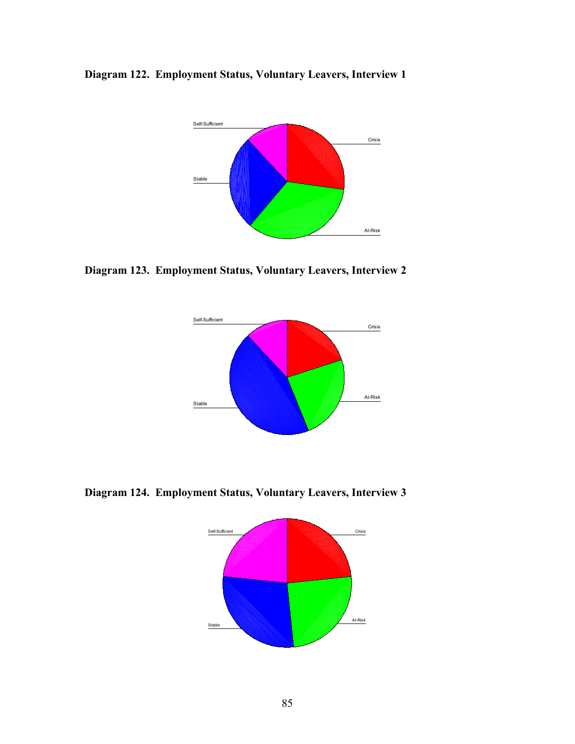**Diagram 122. Employment Status, Voluntary Leavers, Interview 1**



**Diagram 123. Employment Status, Voluntary Leavers, Interview 2**



**Diagram 124. Employment Status, Voluntary Leavers, Interview 3**

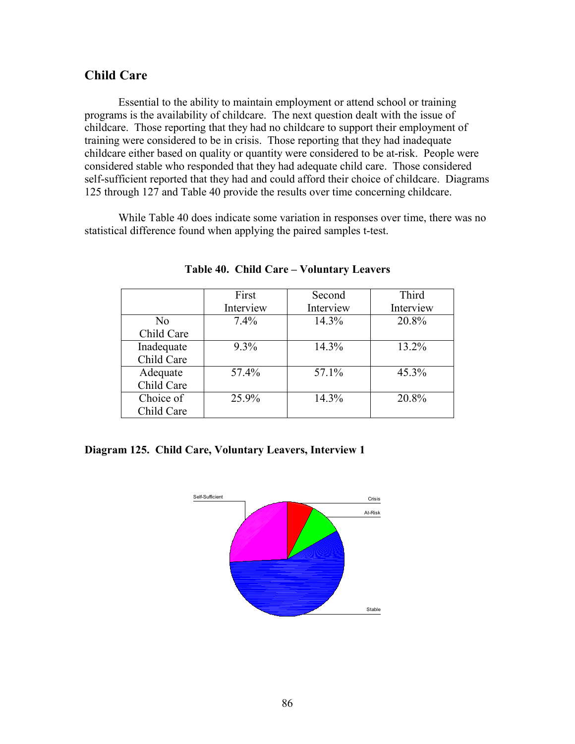## **Child Care**

Essential to the ability to maintain employment or attend school or training programs is the availability of childcare. The next question dealt with the issue of childcare. Those reporting that they had no childcare to support their employment of training were considered to be in crisis. Those reporting that they had inadequate childcare either based on quality or quantity were considered to be at-risk. People were considered stable who responded that they had adequate child care. Those considered self-sufficient reported that they had and could afford their choice of childcare. Diagrams 125 through 127 and Table 40 provide the results over time concerning childcare.

While Table 40 does indicate some variation in responses over time, there was no statistical difference found when applying the paired samples t-test.

|            | First     | Second    | Third     |
|------------|-----------|-----------|-----------|
|            | Interview | Interview | Interview |
| No         | $7.4\%$   | 14.3%     | 20.8%     |
| Child Care |           |           |           |
| Inadequate | 9.3%      | 14.3%     | 13.2%     |
| Child Care |           |           |           |
| Adequate   | 57.4%     | 57.1%     | 45.3%     |
| Child Care |           |           |           |
| Choice of  | 25.9%     | 14.3%     | 20.8%     |
| Child Care |           |           |           |

**Table 40. Child Care – Voluntary Leavers**

#### **Diagram 125. Child Care, Voluntary Leavers, Interview 1**

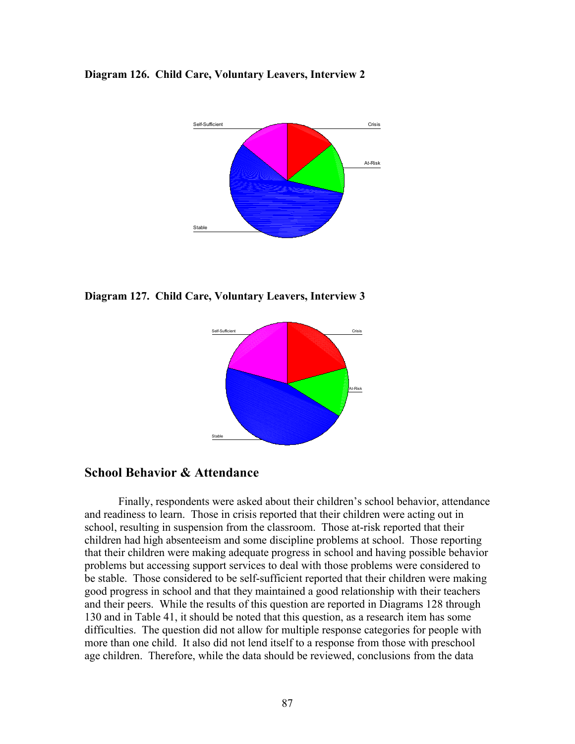#### **Diagram 126. Child Care, Voluntary Leavers, Interview 2**



**Diagram 127. Child Care, Voluntary Leavers, Interview 3**



# **School Behavior & Attendance**

Finally, respondents were asked about their children's school behavior, attendance and readiness to learn. Those in crisis reported that their children were acting out in school, resulting in suspension from the classroom. Those at-risk reported that their children had high absenteeism and some discipline problems at school. Those reporting that their children were making adequate progress in school and having possible behavior problems but accessing support services to deal with those problems were considered to be stable. Those considered to be self-sufficient reported that their children were making good progress in school and that they maintained a good relationship with their teachers and their peers. While the results of this question are reported in Diagrams 128 through 130 and in Table 41, it should be noted that this question, as a research item has some difficulties. The question did not allow for multiple response categories for people with more than one child. It also did not lend itself to a response from those with preschool age children. Therefore, while the data should be reviewed, conclusions from the data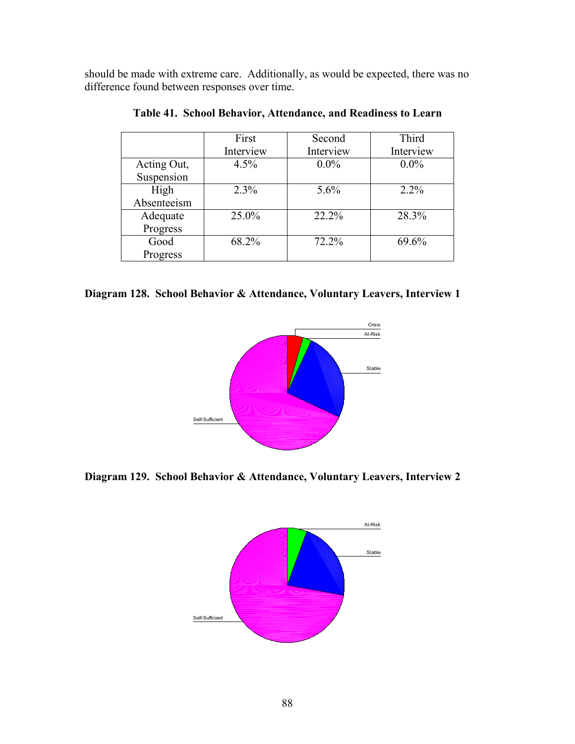should be made with extreme care. Additionally, as would be expected, there was no difference found between responses over time.

|             | First     | Second    | Third     |
|-------------|-----------|-----------|-----------|
|             | Interview | Interview | Interview |
| Acting Out, | 4.5%      | $0.0\%$   | $0.0\%$   |
| Suspension  |           |           |           |
| High        | 2.3%      | 5.6%      | $2.2\%$   |
| Absenteeism |           |           |           |
| Adequate    | 25.0%     | 22.2%     | 28.3%     |
| Progress    |           |           |           |
| Good        | 68.2%     | 72.2%     | 69.6%     |
| Progress    |           |           |           |

**Table 41. School Behavior, Attendance, and Readiness to Learn**

|  | Diagram 128. School Behavior & Attendance, Voluntary Leavers, Interview 1 |  |  |  |  |
|--|---------------------------------------------------------------------------|--|--|--|--|
|--|---------------------------------------------------------------------------|--|--|--|--|



**Diagram 129. School Behavior & Attendance, Voluntary Leavers, Interview 2**